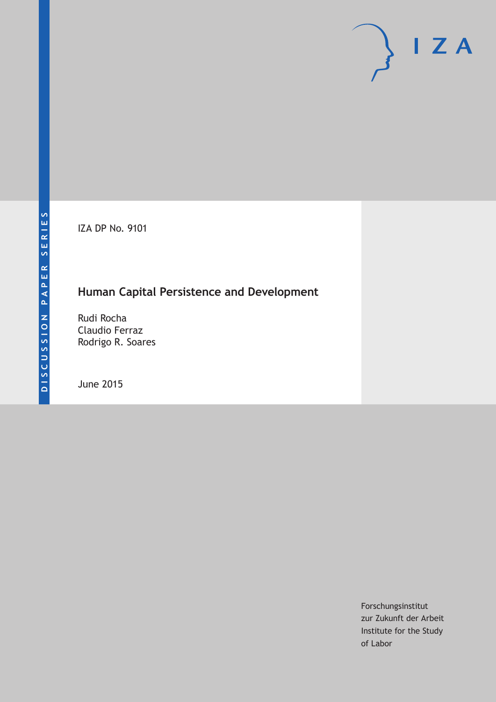IZA DP No. 9101

## **Human Capital Persistence and Development**

Rudi Rocha Claudio Ferraz Rodrigo R. Soares

June 2015

Forschungsinstitut zur Zukunft der Arbeit Institute for the Study of Labor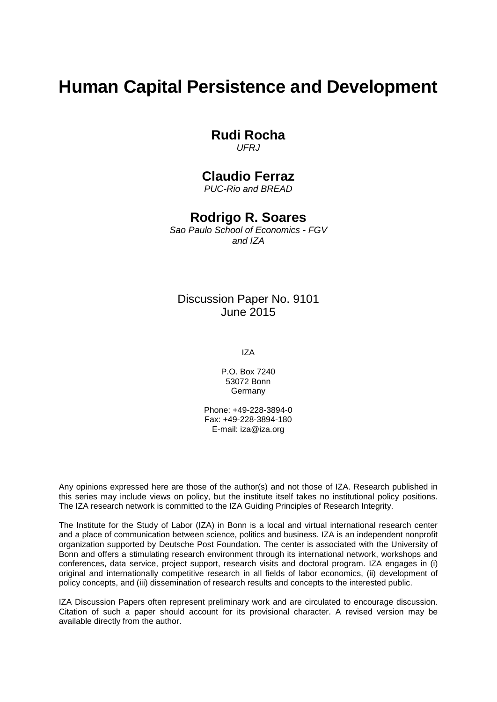# **Human Capital Persistence and Development**

#### **Rudi Rocha**

*UFRJ*

### **Claudio Ferraz**

*PUC-Rio and BREAD*

### **Rodrigo R. Soares**

*Sao Paulo School of Economics - FGV and IZA*

#### Discussion Paper No. 9101 June 2015

IZA

P.O. Box 7240 53072 Bonn Germany

Phone: +49-228-3894-0 Fax: +49-228-3894-180 E-mail: iza@iza.org

Any opinions expressed here are those of the author(s) and not those of IZA. Research published in this series may include views on policy, but the institute itself takes no institutional policy positions. The IZA research network is committed to the IZA Guiding Principles of Research Integrity.

The Institute for the Study of Labor (IZA) in Bonn is a local and virtual international research center and a place of communication between science, politics and business. IZA is an independent nonprofit organization supported by Deutsche Post Foundation. The center is associated with the University of Bonn and offers a stimulating research environment through its international network, workshops and conferences, data service, project support, research visits and doctoral program. IZA engages in (i) original and internationally competitive research in all fields of labor economics, (ii) development of policy concepts, and (iii) dissemination of research results and concepts to the interested public.

<span id="page-1-0"></span>IZA Discussion Papers often represent preliminary work and are circulated to encourage discussion. Citation of such a paper should account for its provisional character. A revised version may be available directly from the author.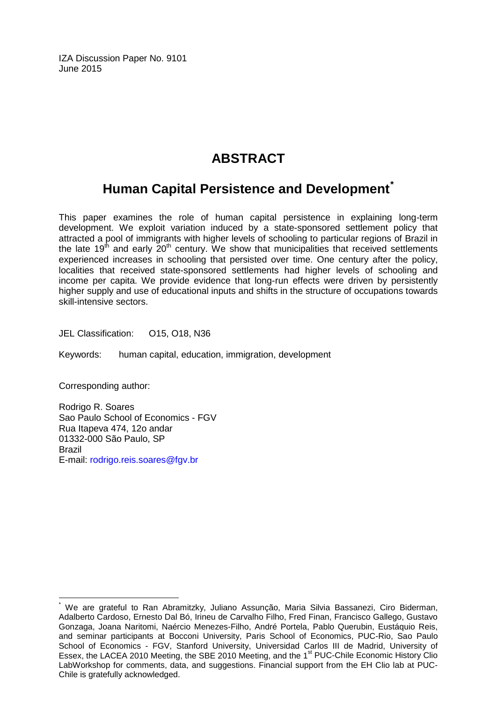IZA Discussion Paper No. 9101 June 2015

## **ABSTRACT**

## **Human Capital Persistence and Development[\\*](#page-1-0)**

This paper examines the role of human capital persistence in explaining long-term development. We exploit variation induced by a state-sponsored settlement policy that attracted a pool of immigrants with higher levels of schooling to particular regions of Brazil in the late 19<sup>th</sup> and early  $20<sup>th</sup>$  century. We show that municipalities that received settlements experienced increases in schooling that persisted over time. One century after the policy, localities that received state-sponsored settlements had higher levels of schooling and income per capita. We provide evidence that long-run effects were driven by persistently higher supply and use of educational inputs and shifts in the structure of occupations towards skill-intensive sectors.

JEL Classification: O15, O18, N36

Keywords: human capital, education, immigration, development

Corresponding author:

Rodrigo R. Soares Sao Paulo School of Economics - FGV Rua Itapeva 474, 12o andar 01332-000 São Paulo, SP Brazil E-mail: [rodrigo.reis.soares@fgv.br](mailto:rodrigo.reis.soares@fgv.br)

We are grateful to Ran Abramitzky, Juliano Assunção, Maria Silvia Bassanezi, Ciro Biderman, Adalberto Cardoso, Ernesto Dal Bó, Irineu de Carvalho Filho, Fred Finan, Francisco Gallego, Gustavo Gonzaga, Joana Naritomi, Naércio Menezes-Filho, André Portela, Pablo Querubin, Eustáquio Reis, and seminar participants at Bocconi University, Paris School of Economics, PUC-Rio, Sao Paulo School of Economics - FGV, Stanford University, Universidad Carlos III de Madrid, University of Essex, the LACEA 2010 Meeting, the SBE 2010 Meeting, and the 1<sup>st</sup> PUC-Chile Economic History Clio LabWorkshop for comments, data, and suggestions. Financial support from the EH Clio lab at PUC-Chile is gratefully acknowledged.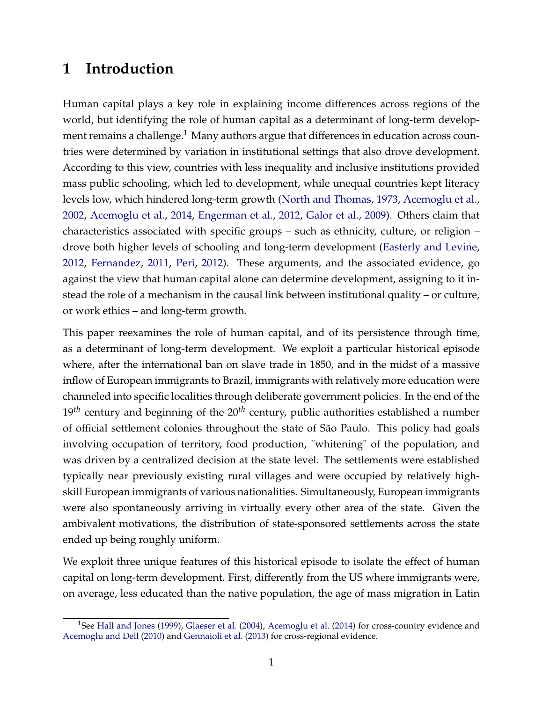## **1 Introduction**

Human capital plays a key role in explaining income differences across regions of the world, but identifying the role of human capital as a determinant of long-term development remains a challenge.<sup>1</sup> Many authors argue that differences in education across countries were determined by variation in institutional settings that also drove development. According to this view, countries with less inequality and inclusive institutions provided mass public schooling, which led to development, while unequal countries kept literacy levels low, which hindered long-term growth [\(North and Thomas,](#page-34-0) [1973,](#page-34-0) [Acemoglu et al.,](#page-31-0) [2002,](#page-31-0) [Acemoglu et al.,](#page-31-1) [2014,](#page-31-1) [Engerman et al.,](#page-32-0) [2012,](#page-32-0) [Galor et al.,](#page-32-1) [2009\)](#page-32-1). Others claim that characteristics associated with specific groups – such as ethnicity, culture, or religion – drove both higher levels of schooling and long-term development [\(Easterly and Levine,](#page-32-2) [2012,](#page-32-2) [Fernandez,](#page-32-3) [2011,](#page-32-3) [Peri,](#page-34-1) [2012\)](#page-34-1). These arguments, and the associated evidence, go against the view that human capital alone can determine development, assigning to it instead the role of a mechanism in the causal link between institutional quality – or culture, or work ethics – and long-term growth.

This paper reexamines the role of human capital, and of its persistence through time, as a determinant of long-term development. We exploit a particular historical episode where, after the international ban on slave trade in 1850, and in the midst of a massive inflow of European immigrants to Brazil, immigrants with relatively more education were channeled into specific localities through deliberate government policies. In the end of the 19*th* century and beginning of the 20*th* century, public authorities established a number of official settlement colonies throughout the state of São Paulo. This policy had goals involving occupation of territory, food production, "whitening" of the population, and was driven by a centralized decision at the state level. The settlements were established typically near previously existing rural villages and were occupied by relatively highskill European immigrants of various nationalities. Simultaneously, European immigrants were also spontaneously arriving in virtually every other area of the state. Given the ambivalent motivations, the distribution of state-sponsored settlements across the state ended up being roughly uniform.

We exploit three unique features of this historical episode to isolate the effect of human capital on long-term development. First, differently from the US where immigrants were, on average, less educated than the native population, the age of mass migration in Latin

<sup>&</sup>lt;sup>1</sup>See [Hall and Jones](#page-33-0) [\(1999\)](#page-33-0), [Glaeser et al.](#page-33-1) [\(2004\)](#page-33-1), [Acemoglu et al.](#page-31-1) [\(2014\)](#page-31-1) for cross-country evidence and [Acemoglu and Dell](#page-31-2) [\(2010\)](#page-31-2) and [Gennaioli et al.](#page-33-2) [\(2013\)](#page-33-2) for cross-regional evidence.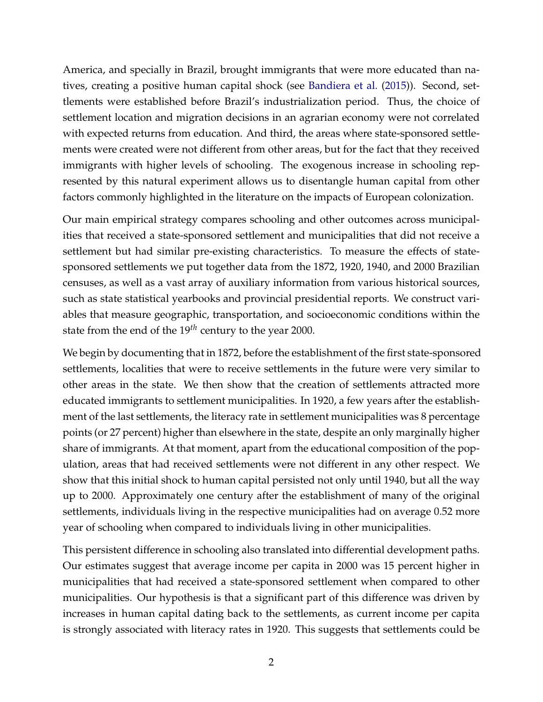America, and specially in Brazil, brought immigrants that were more educated than natives, creating a positive human capital shock (see [Bandiera et al.](#page-31-3) [\(2015\)](#page-31-3)). Second, settlements were established before Brazil's industrialization period. Thus, the choice of settlement location and migration decisions in an agrarian economy were not correlated with expected returns from education. And third, the areas where state-sponsored settlements were created were not different from other areas, but for the fact that they received immigrants with higher levels of schooling. The exogenous increase in schooling represented by this natural experiment allows us to disentangle human capital from other factors commonly highlighted in the literature on the impacts of European colonization.

Our main empirical strategy compares schooling and other outcomes across municipalities that received a state-sponsored settlement and municipalities that did not receive a settlement but had similar pre-existing characteristics. To measure the effects of statesponsored settlements we put together data from the 1872, 1920, 1940, and 2000 Brazilian censuses, as well as a vast array of auxiliary information from various historical sources, such as state statistical yearbooks and provincial presidential reports. We construct variables that measure geographic, transportation, and socioeconomic conditions within the state from the end of the 19*th* century to the year 2000.

We begin by documenting that in 1872, before the establishment of the first state-sponsored settlements, localities that were to receive settlements in the future were very similar to other areas in the state. We then show that the creation of settlements attracted more educated immigrants to settlement municipalities. In 1920, a few years after the establishment of the last settlements, the literacy rate in settlement municipalities was 8 percentage points (or 27 percent) higher than elsewhere in the state, despite an only marginally higher share of immigrants. At that moment, apart from the educational composition of the population, areas that had received settlements were not different in any other respect. We show that this initial shock to human capital persisted not only until 1940, but all the way up to 2000. Approximately one century after the establishment of many of the original settlements, individuals living in the respective municipalities had on average 0.52 more year of schooling when compared to individuals living in other municipalities.

This persistent difference in schooling also translated into differential development paths. Our estimates suggest that average income per capita in 2000 was 15 percent higher in municipalities that had received a state-sponsored settlement when compared to other municipalities. Our hypothesis is that a significant part of this difference was driven by increases in human capital dating back to the settlements, as current income per capita is strongly associated with literacy rates in 1920. This suggests that settlements could be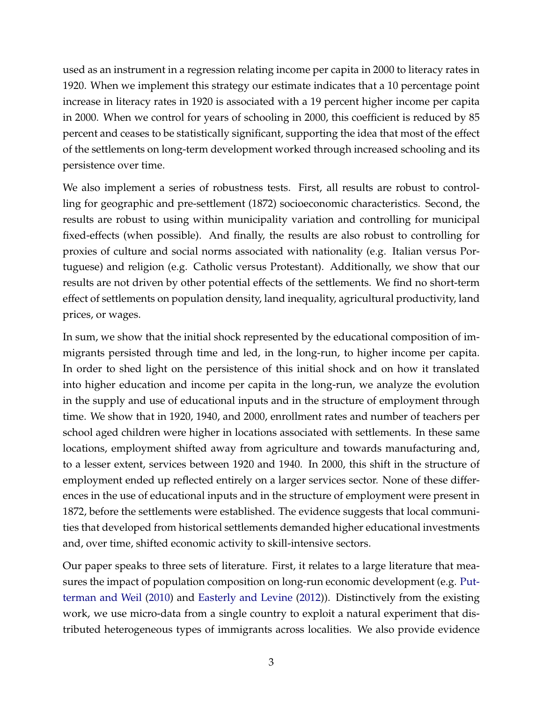used as an instrument in a regression relating income per capita in 2000 to literacy rates in 1920. When we implement this strategy our estimate indicates that a 10 percentage point increase in literacy rates in 1920 is associated with a 19 percent higher income per capita in 2000. When we control for years of schooling in 2000, this coefficient is reduced by 85 percent and ceases to be statistically significant, supporting the idea that most of the effect of the settlements on long-term development worked through increased schooling and its persistence over time.

We also implement a series of robustness tests. First, all results are robust to controlling for geographic and pre-settlement (1872) socioeconomic characteristics. Second, the results are robust to using within municipality variation and controlling for municipal fixed-effects (when possible). And finally, the results are also robust to controlling for proxies of culture and social norms associated with nationality (e.g. Italian versus Portuguese) and religion (e.g. Catholic versus Protestant). Additionally, we show that our results are not driven by other potential effects of the settlements. We find no short-term effect of settlements on population density, land inequality, agricultural productivity, land prices, or wages.

In sum, we show that the initial shock represented by the educational composition of immigrants persisted through time and led, in the long-run, to higher income per capita. In order to shed light on the persistence of this initial shock and on how it translated into higher education and income per capita in the long-run, we analyze the evolution in the supply and use of educational inputs and in the structure of employment through time. We show that in 1920, 1940, and 2000, enrollment rates and number of teachers per school aged children were higher in locations associated with settlements. In these same locations, employment shifted away from agriculture and towards manufacturing and, to a lesser extent, services between 1920 and 1940. In 2000, this shift in the structure of employment ended up reflected entirely on a larger services sector. None of these differences in the use of educational inputs and in the structure of employment were present in 1872, before the settlements were established. The evidence suggests that local communities that developed from historical settlements demanded higher educational investments and, over time, shifted economic activity to skill-intensive sectors.

Our paper speaks to three sets of literature. First, it relates to a large literature that measures the impact of population composition on long-run economic development (e.g. [Put](#page-34-2)[terman and Weil](#page-34-2) [\(2010\)](#page-34-2) and [Easterly and Levine](#page-32-2) [\(2012\)](#page-32-2)). Distinctively from the existing work, we use micro-data from a single country to exploit a natural experiment that distributed heterogeneous types of immigrants across localities. We also provide evidence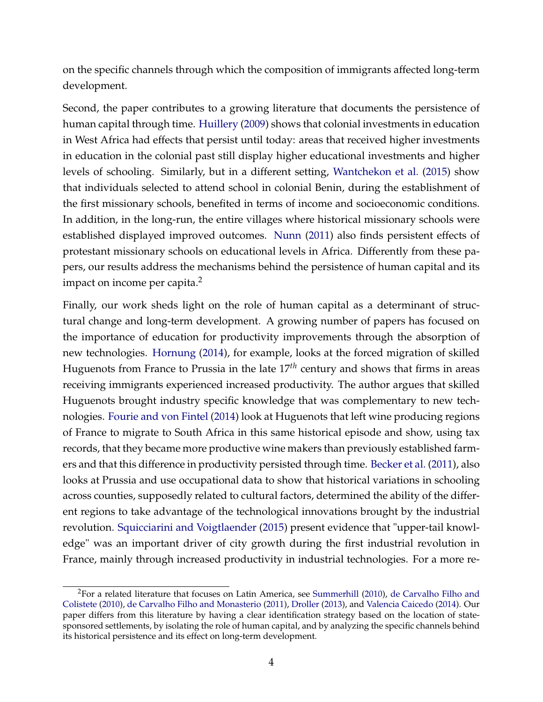on the specific channels through which the composition of immigrants affected long-term development.

Second, the paper contributes to a growing literature that documents the persistence of human capital through time. [Huillery](#page-33-3) [\(2009\)](#page-33-3) shows that colonial investments in education in West Africa had effects that persist until today: areas that received higher investments in education in the colonial past still display higher educational investments and higher levels of schooling. Similarly, but in a different setting, [Wantchekon et al.](#page-35-0) [\(2015\)](#page-35-0) show that individuals selected to attend school in colonial Benin, during the establishment of the first missionary schools, benefited in terms of income and socioeconomic conditions. In addition, in the long-run, the entire villages where historical missionary schools were established displayed improved outcomes. [Nunn](#page-34-3) [\(2011\)](#page-34-3) also finds persistent effects of protestant missionary schools on educational levels in Africa. Differently from these papers, our results address the mechanisms behind the persistence of human capital and its impact on income per capita. $2$ 

Finally, our work sheds light on the role of human capital as a determinant of structural change and long-term development. A growing number of papers has focused on the importance of education for productivity improvements through the absorption of new technologies. [Hornung](#page-33-4) [\(2014\)](#page-33-4), for example, looks at the forced migration of skilled Huguenots from France to Prussia in the late 17*th* century and shows that firms in areas receiving immigrants experienced increased productivity. The author argues that skilled Huguenots brought industry specific knowledge that was complementary to new technologies. [Fourie and von Fintel](#page-32-4) [\(2014\)](#page-32-4) look at Huguenots that left wine producing regions of France to migrate to South Africa in this same historical episode and show, using tax records, that they became more productive wine makers than previously established farmers and that this difference in productivity persisted through time. [Becker et al.](#page-31-4) [\(2011\)](#page-31-4), also looks at Prussia and use occupational data to show that historical variations in schooling across counties, supposedly related to cultural factors, determined the ability of the different regions to take advantage of the technological innovations brought by the industrial revolution. [Squicciarini and Voigtlaender](#page-34-4) [\(2015\)](#page-34-4) present evidence that "upper-tail knowledge" was an important driver of city growth during the first industrial revolution in France, mainly through increased productivity in industrial technologies. For a more re-

 $2$ For a related literature that focuses on Latin America, see [Summerhill](#page-35-1) [\(2010\)](#page-35-1), [de Carvalho Filho and](#page-32-5) [Colistete](#page-32-5) [\(2010\)](#page-32-5), [de Carvalho Filho and Monasterio](#page-32-6) [\(2011\)](#page-32-6), [Droller](#page-32-7) [\(2013\)](#page-32-7), and [Valencia Caicedo](#page-35-2) [\(2014\)](#page-35-2). Our paper differs from this literature by having a clear identification strategy based on the location of statesponsored settlements, by isolating the role of human capital, and by analyzing the specific channels behind its historical persistence and its effect on long-term development.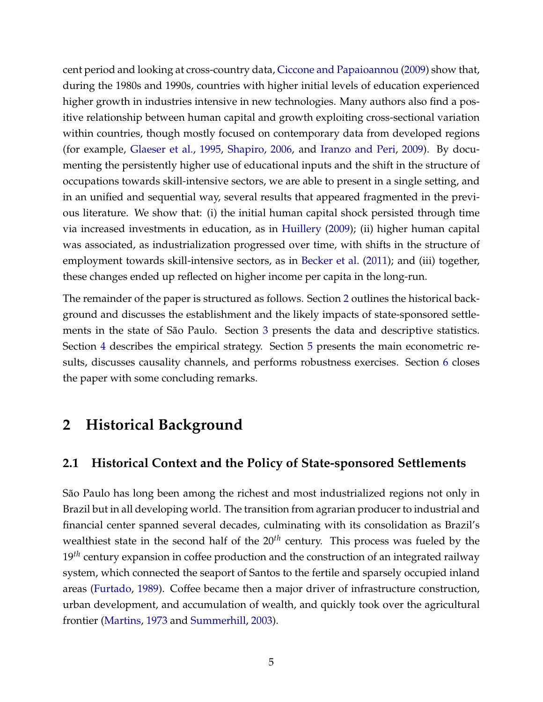cent period and looking at cross-country data, [Ciccone and Papaioannou](#page-31-5) [\(2009\)](#page-31-5) show that, during the 1980s and 1990s, countries with higher initial levels of education experienced higher growth in industries intensive in new technologies. Many authors also find a positive relationship between human capital and growth exploiting cross-sectional variation within countries, though mostly focused on contemporary data from developed regions (for example, [Glaeser et al.,](#page-33-5) [1995,](#page-33-5) [Shapiro,](#page-34-5) [2006,](#page-34-5) and [Iranzo and Peri,](#page-33-6) [2009\)](#page-33-6). By documenting the persistently higher use of educational inputs and the shift in the structure of occupations towards skill-intensive sectors, we are able to present in a single setting, and in an unified and sequential way, several results that appeared fragmented in the previous literature. We show that: (i) the initial human capital shock persisted through time via increased investments in education, as in [Huillery](#page-33-3) [\(2009\)](#page-33-3); (ii) higher human capital was associated, as industrialization progressed over time, with shifts in the structure of employment towards skill-intensive sectors, as in [Becker et al.](#page-31-4) [\(2011\)](#page-31-4); and (iii) together, these changes ended up reflected on higher income per capita in the long-run.

The remainder of the paper is structured as follows. Section [2](#page-7-0) outlines the historical background and discusses the establishment and the likely impacts of state-sponsored settlements in the state of São Paulo. Section [3](#page-15-0) presents the data and descriptive statistics. Section [4](#page-19-0) describes the empirical strategy. Section [5](#page-21-0) presents the main econometric results, discusses causality channels, and performs robustness exercises. Section [6](#page-29-0) closes the paper with some concluding remarks.

## <span id="page-7-0"></span>**2 Historical Background**

#### **2.1 Historical Context and the Policy of State-sponsored Settlements**

São Paulo has long been among the richest and most industrialized regions not only in Brazil but in all developing world. The transition from agrarian producer to industrial and financial center spanned several decades, culminating with its consolidation as Brazil's wealthiest state in the second half of the 20<sup>th</sup> century. This process was fueled by the 19<sup>th</sup> century expansion in coffee production and the construction of an integrated railway system, which connected the seaport of Santos to the fertile and sparsely occupied inland areas [\(Furtado,](#page-32-8) [1989\)](#page-32-8). Coffee became then a major driver of infrastructure construction, urban development, and accumulation of wealth, and quickly took over the agricultural frontier [\(Martins,](#page-34-6) [1973](#page-34-6) and [Summerhill,](#page-35-3) [2003\)](#page-35-3).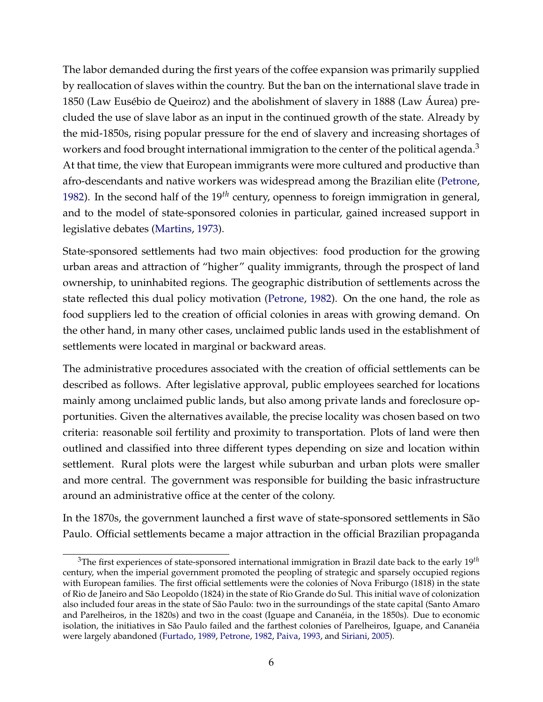The labor demanded during the first years of the coffee expansion was primarily supplied by reallocation of slaves within the country. But the ban on the international slave trade in 1850 (Law Eusébio de Queiroz) and the abolishment of slavery in 1888 (Law Áurea) precluded the use of slave labor as an input in the continued growth of the state. Already by the mid-1850s, rising popular pressure for the end of slavery and increasing shortages of workers and food brought international immigration to the center of the political agenda.<sup>3</sup> At that time, the view that European immigrants were more cultured and productive than afro-descendants and native workers was widespread among the Brazilian elite [\(Petrone,](#page-34-7) [1982\)](#page-34-7). In the second half of the 19*th* century, openness to foreign immigration in general, and to the model of state-sponsored colonies in particular, gained increased support in legislative debates [\(Martins,](#page-34-6) [1973\)](#page-34-6).

State-sponsored settlements had two main objectives: food production for the growing urban areas and attraction of "higher" quality immigrants, through the prospect of land ownership, to uninhabited regions. The geographic distribution of settlements across the state reflected this dual policy motivation [\(Petrone,](#page-34-7) [1982\)](#page-34-7). On the one hand, the role as food suppliers led to the creation of official colonies in areas with growing demand. On the other hand, in many other cases, unclaimed public lands used in the establishment of settlements were located in marginal or backward areas.

The administrative procedures associated with the creation of official settlements can be described as follows. After legislative approval, public employees searched for locations mainly among unclaimed public lands, but also among private lands and foreclosure opportunities. Given the alternatives available, the precise locality was chosen based on two criteria: reasonable soil fertility and proximity to transportation. Plots of land were then outlined and classified into three different types depending on size and location within settlement. Rural plots were the largest while suburban and urban plots were smaller and more central. The government was responsible for building the basic infrastructure around an administrative office at the center of the colony.

In the 1870s, the government launched a first wave of state-sponsored settlements in São Paulo. Official settlements became a major attraction in the official Brazilian propaganda

<sup>3</sup>The first experiences of state-sponsored international immigration in Brazil date back to the early 19*th* century, when the imperial government promoted the peopling of strategic and sparsely occupied regions with European families. The first official settlements were the colonies of Nova Friburgo (1818) in the state of Rio de Janeiro and São Leopoldo (1824) in the state of Rio Grande do Sul. This initial wave of colonization also included four areas in the state of São Paulo: two in the surroundings of the state capital (Santo Amaro and Parelheiros, in the 1820s) and two in the coast (Iguape and Cananéia, in the 1850s). Due to economic isolation, the initiatives in São Paulo failed and the farthest colonies of Parelheiros, Iguape, and Cananéia were largely abandoned [\(Furtado,](#page-32-8) [1989,](#page-32-8) [Petrone,](#page-34-7) [1982,](#page-34-7) [Paiva,](#page-34-8) [1993,](#page-34-8) and [Siriani,](#page-34-9) [2005\)](#page-34-9).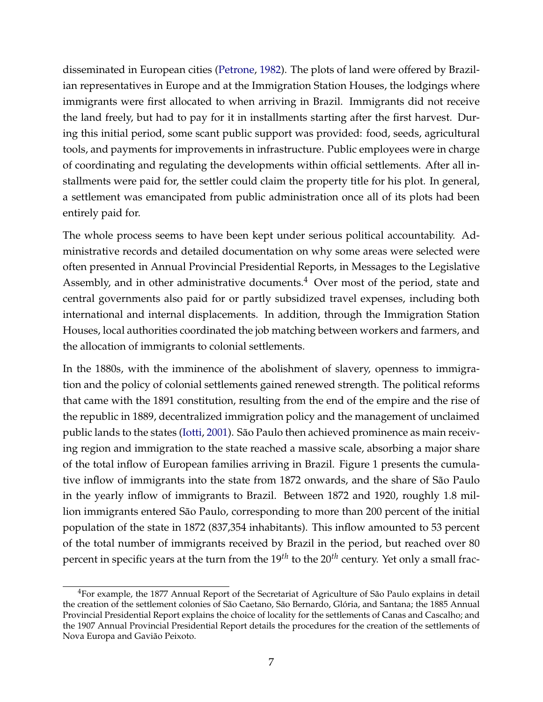disseminated in European cities [\(Petrone,](#page-34-7) [1982\)](#page-34-7). The plots of land were offered by Brazilian representatives in Europe and at the Immigration Station Houses, the lodgings where immigrants were first allocated to when arriving in Brazil. Immigrants did not receive the land freely, but had to pay for it in installments starting after the first harvest. During this initial period, some scant public support was provided: food, seeds, agricultural tools, and payments for improvements in infrastructure. Public employees were in charge of coordinating and regulating the developments within official settlements. After all installments were paid for, the settler could claim the property title for his plot. In general, a settlement was emancipated from public administration once all of its plots had been entirely paid for.

The whole process seems to have been kept under serious political accountability. Administrative records and detailed documentation on why some areas were selected were often presented in Annual Provincial Presidential Reports, in Messages to the Legislative Assembly, and in other administrative documents. $4$  Over most of the period, state and central governments also paid for or partly subsidized travel expenses, including both international and internal displacements. In addition, through the Immigration Station Houses, local authorities coordinated the job matching between workers and farmers, and the allocation of immigrants to colonial settlements.

In the 1880s, with the imminence of the abolishment of slavery, openness to immigration and the policy of colonial settlements gained renewed strength. The political reforms that came with the 1891 constitution, resulting from the end of the empire and the rise of the republic in 1889, decentralized immigration policy and the management of unclaimed public lands to the states [\(Iotti,](#page-33-7) [2001\)](#page-33-7). São Paulo then achieved prominence as main receiving region and immigration to the state reached a massive scale, absorbing a major share of the total inflow of European families arriving in Brazil. Figure 1 presents the cumulative inflow of immigrants into the state from 1872 onwards, and the share of São Paulo in the yearly inflow of immigrants to Brazil. Between 1872 and 1920, roughly 1.8 million immigrants entered São Paulo, corresponding to more than 200 percent of the initial population of the state in 1872 (837,354 inhabitants). This inflow amounted to 53 percent of the total number of immigrants received by Brazil in the period, but reached over 80 percent in specific years at the turn from the 19*th* to the 20*th* century. Yet only a small frac-

<sup>&</sup>lt;sup>4</sup>For example, the 1877 Annual Report of the Secretariat of Agriculture of São Paulo explains in detail the creation of the settlement colonies of São Caetano, São Bernardo, Glória, and Santana; the 1885 Annual Provincial Presidential Report explains the choice of locality for the settlements of Canas and Cascalho; and the 1907 Annual Provincial Presidential Report details the procedures for the creation of the settlements of Nova Europa and Gavião Peixoto.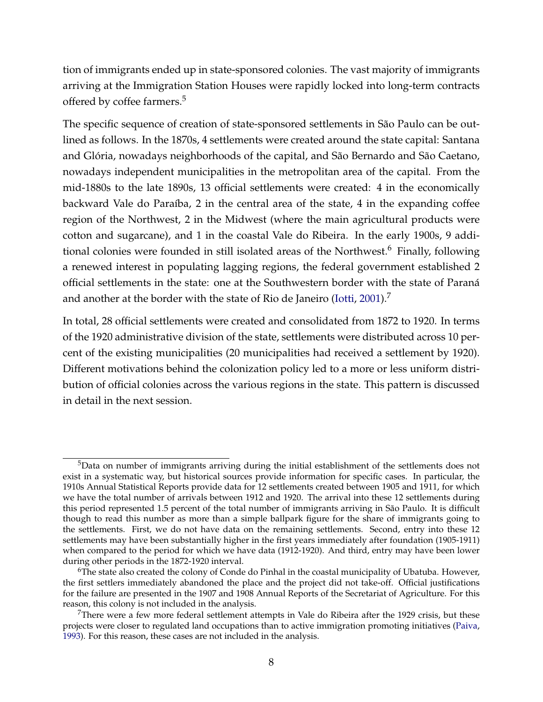tion of immigrants ended up in state-sponsored colonies. The vast majority of immigrants arriving at the Immigration Station Houses were rapidly locked into long-term contracts offered by coffee farmers.<sup>5</sup>

The specific sequence of creation of state-sponsored settlements in São Paulo can be outlined as follows. In the 1870s, 4 settlements were created around the state capital: Santana and Glória, nowadays neighborhoods of the capital, and São Bernardo and São Caetano, nowadays independent municipalities in the metropolitan area of the capital. From the mid-1880s to the late 1890s, 13 official settlements were created: 4 in the economically backward Vale do Paraíba, 2 in the central area of the state, 4 in the expanding coffee region of the Northwest, 2 in the Midwest (where the main agricultural products were cotton and sugarcane), and 1 in the coastal Vale do Ribeira. In the early 1900s, 9 additional colonies were founded in still isolated areas of the Northwest.<sup>6</sup> Finally, following a renewed interest in populating lagging regions, the federal government established 2 official settlements in the state: one at the Southwestern border with the state of Paraná and another at the border with the state of Rio de Janeiro [\(Iotti,](#page-33-7) [2001\)](#page-33-7).<sup>7</sup>

In total, 28 official settlements were created and consolidated from 1872 to 1920. In terms of the 1920 administrative division of the state, settlements were distributed across 10 percent of the existing municipalities (20 municipalities had received a settlement by 1920). Different motivations behind the colonization policy led to a more or less uniform distribution of official colonies across the various regions in the state. This pattern is discussed in detail in the next session.

 $5$ Data on number of immigrants arriving during the initial establishment of the settlements does not exist in a systematic way, but historical sources provide information for specific cases. In particular, the 1910s Annual Statistical Reports provide data for 12 settlements created between 1905 and 1911, for which we have the total number of arrivals between 1912 and 1920. The arrival into these 12 settlements during this period represented 1.5 percent of the total number of immigrants arriving in São Paulo. It is difficult though to read this number as more than a simple ballpark figure for the share of immigrants going to the settlements. First, we do not have data on the remaining settlements. Second, entry into these 12 settlements may have been substantially higher in the first years immediately after foundation (1905-1911) when compared to the period for which we have data (1912-1920). And third, entry may have been lower during other periods in the 1872-1920 interval.

 $6$ The state also created the colony of Conde do Pinhal in the coastal municipality of Ubatuba. However, the first settlers immediately abandoned the place and the project did not take-off. Official justifications for the failure are presented in the 1907 and 1908 Annual Reports of the Secretariat of Agriculture. For this reason, this colony is not included in the analysis.

<sup>7</sup>There were a few more federal settlement attempts in Vale do Ribeira after the 1929 crisis, but these projects were closer to regulated land occupations than to active immigration promoting initiatives [\(Paiva,](#page-34-8) [1993\)](#page-34-8). For this reason, these cases are not included in the analysis.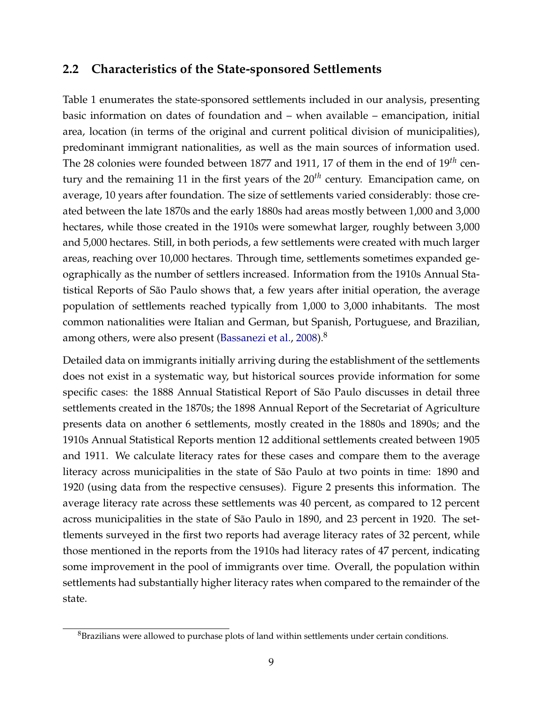#### **2.2 Characteristics of the State-sponsored Settlements**

Table 1 enumerates the state-sponsored settlements included in our analysis, presenting basic information on dates of foundation and – when available – emancipation, initial area, location (in terms of the original and current political division of municipalities), predominant immigrant nationalities, as well as the main sources of information used. The 28 colonies were founded between 1877 and 1911, 17 of them in the end of 19*th* century and the remaining 11 in the first years of the 20*th* century. Emancipation came, on average, 10 years after foundation. The size of settlements varied considerably: those created between the late 1870s and the early 1880s had areas mostly between 1,000 and 3,000 hectares, while those created in the 1910s were somewhat larger, roughly between 3,000 and 5,000 hectares. Still, in both periods, a few settlements were created with much larger areas, reaching over 10,000 hectares. Through time, settlements sometimes expanded geographically as the number of settlers increased. Information from the 1910s Annual Statistical Reports of São Paulo shows that, a few years after initial operation, the average population of settlements reached typically from 1,000 to 3,000 inhabitants. The most common nationalities were Italian and German, but Spanish, Portuguese, and Brazilian, among others, were also present [\(Bassanezi et al.,](#page-31-6) [2008\)](#page-31-6).<sup>8</sup>

Detailed data on immigrants initially arriving during the establishment of the settlements does not exist in a systematic way, but historical sources provide information for some specific cases: the 1888 Annual Statistical Report of São Paulo discusses in detail three settlements created in the 1870s; the 1898 Annual Report of the Secretariat of Agriculture presents data on another 6 settlements, mostly created in the 1880s and 1890s; and the 1910s Annual Statistical Reports mention 12 additional settlements created between 1905 and 1911. We calculate literacy rates for these cases and compare them to the average literacy across municipalities in the state of São Paulo at two points in time: 1890 and 1920 (using data from the respective censuses). Figure 2 presents this information. The average literacy rate across these settlements was 40 percent, as compared to 12 percent across municipalities in the state of São Paulo in 1890, and 23 percent in 1920. The settlements surveyed in the first two reports had average literacy rates of 32 percent, while those mentioned in the reports from the 1910s had literacy rates of 47 percent, indicating some improvement in the pool of immigrants over time. Overall, the population within settlements had substantially higher literacy rates when compared to the remainder of the state.

 ${}^{8}$ Brazilians were allowed to purchase plots of land within settlements under certain conditions.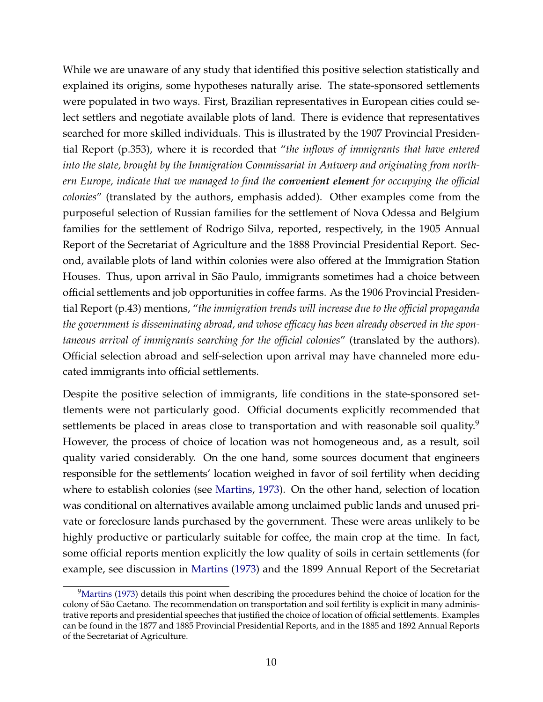While we are unaware of any study that identified this positive selection statistically and explained its origins, some hypotheses naturally arise. The state-sponsored settlements were populated in two ways. First, Brazilian representatives in European cities could select settlers and negotiate available plots of land. There is evidence that representatives searched for more skilled individuals. This is illustrated by the 1907 Provincial Presidential Report (p.353), where it is recorded that "*the inflows of immigrants that have entered into the state, brought by the Immigration Commissariat in Antwerp and originating from northern Europe, indicate that we managed to find the convenient element for occupying the official colonies*" (translated by the authors, emphasis added). Other examples come from the purposeful selection of Russian families for the settlement of Nova Odessa and Belgium families for the settlement of Rodrigo Silva, reported, respectively, in the 1905 Annual Report of the Secretariat of Agriculture and the 1888 Provincial Presidential Report. Second, available plots of land within colonies were also offered at the Immigration Station Houses. Thus, upon arrival in São Paulo, immigrants sometimes had a choice between official settlements and job opportunities in coffee farms. As the 1906 Provincial Presidential Report (p.43) mentions, "*the immigration trends will increase due to the official propaganda the government is disseminating abroad, and whose efficacy has been already observed in the spontaneous arrival of immigrants searching for the official colonies*" (translated by the authors). Official selection abroad and self-selection upon arrival may have channeled more educated immigrants into official settlements.

Despite the positive selection of immigrants, life conditions in the state-sponsored settlements were not particularly good. Official documents explicitly recommended that settlements be placed in areas close to transportation and with reasonable soil quality.<sup>9</sup> However, the process of choice of location was not homogeneous and, as a result, soil quality varied considerably. On the one hand, some sources document that engineers responsible for the settlements' location weighed in favor of soil fertility when deciding where to establish colonies (see [Martins,](#page-34-6) [1973\)](#page-34-6). On the other hand, selection of location was conditional on alternatives available among unclaimed public lands and unused private or foreclosure lands purchased by the government. These were areas unlikely to be highly productive or particularly suitable for coffee, the main crop at the time. In fact, some official reports mention explicitly the low quality of soils in certain settlements (for example, see discussion in [Martins](#page-34-6) [\(1973\)](#page-34-6) and the 1899 Annual Report of the Secretariat

 $9$ [Martins](#page-34-6) [\(1973\)](#page-34-6) details this point when describing the procedures behind the choice of location for the colony of São Caetano. The recommendation on transportation and soil fertility is explicit in many administrative reports and presidential speeches that justified the choice of location of official settlements. Examples can be found in the 1877 and 1885 Provincial Presidential Reports, and in the 1885 and 1892 Annual Reports of the Secretariat of Agriculture.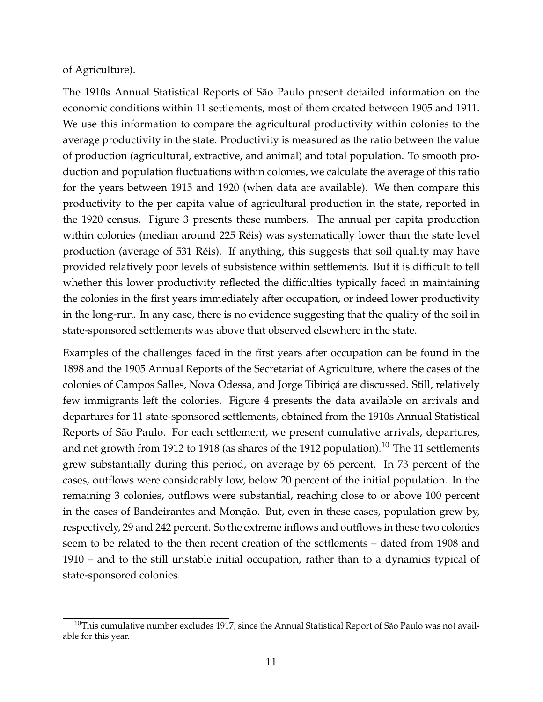#### of Agriculture).

The 1910s Annual Statistical Reports of São Paulo present detailed information on the economic conditions within 11 settlements, most of them created between 1905 and 1911. We use this information to compare the agricultural productivity within colonies to the average productivity in the state. Productivity is measured as the ratio between the value of production (agricultural, extractive, and animal) and total population. To smooth production and population fluctuations within colonies, we calculate the average of this ratio for the years between 1915 and 1920 (when data are available). We then compare this productivity to the per capita value of agricultural production in the state, reported in the 1920 census. Figure 3 presents these numbers. The annual per capita production within colonies (median around 225 Réis) was systematically lower than the state level production (average of 531 Réis). If anything, this suggests that soil quality may have provided relatively poor levels of subsistence within settlements. But it is difficult to tell whether this lower productivity reflected the difficulties typically faced in maintaining the colonies in the first years immediately after occupation, or indeed lower productivity in the long-run. In any case, there is no evidence suggesting that the quality of the soil in state-sponsored settlements was above that observed elsewhere in the state.

Examples of the challenges faced in the first years after occupation can be found in the 1898 and the 1905 Annual Reports of the Secretariat of Agriculture, where the cases of the colonies of Campos Salles, Nova Odessa, and Jorge Tibiriçá are discussed. Still, relatively few immigrants left the colonies. Figure 4 presents the data available on arrivals and departures for 11 state-sponsored settlements, obtained from the 1910s Annual Statistical Reports of São Paulo. For each settlement, we present cumulative arrivals, departures, and net growth from 1912 to 1918 (as shares of the 1912 population).<sup>10</sup> The 11 settlements grew substantially during this period, on average by 66 percent. In 73 percent of the cases, outflows were considerably low, below 20 percent of the initial population. In the remaining 3 colonies, outflows were substantial, reaching close to or above 100 percent in the cases of Bandeirantes and Monção. But, even in these cases, population grew by, respectively, 29 and 242 percent. So the extreme inflows and outflows in these two colonies seem to be related to the then recent creation of the settlements – dated from 1908 and 1910 – and to the still unstable initial occupation, rather than to a dynamics typical of state-sponsored colonies.

 $10$ This cumulative number excludes 1917, since the Annual Statistical Report of São Paulo was not available for this year.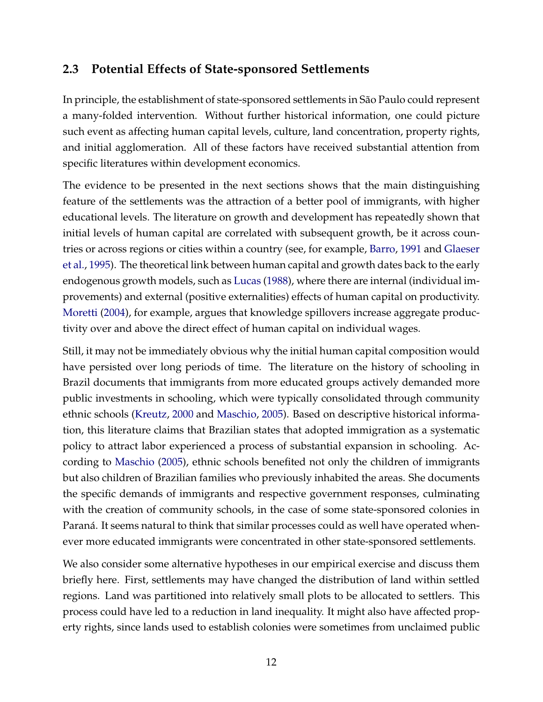### **2.3 Potential Effects of State-sponsored Settlements**

In principle, the establishment of state-sponsored settlements in São Paulo could represent a many-folded intervention. Without further historical information, one could picture such event as affecting human capital levels, culture, land concentration, property rights, and initial agglomeration. All of these factors have received substantial attention from specific literatures within development economics.

The evidence to be presented in the next sections shows that the main distinguishing feature of the settlements was the attraction of a better pool of immigrants, with higher educational levels. The literature on growth and development has repeatedly shown that initial levels of human capital are correlated with subsequent growth, be it across countries or across regions or cities within a country (see, for example, [Barro,](#page-31-7) [1991](#page-31-7) and [Glaeser](#page-33-5) [et al.,](#page-33-5) [1995\)](#page-33-5). The theoretical link between human capital and growth dates back to the early endogenous growth models, such as [Lucas](#page-34-10) [\(1988\)](#page-34-10), where there are internal (individual improvements) and external (positive externalities) effects of human capital on productivity. [Moretti](#page-34-11) [\(2004\)](#page-34-11), for example, argues that knowledge spillovers increase aggregate productivity over and above the direct effect of human capital on individual wages.

Still, it may not be immediately obvious why the initial human capital composition would have persisted over long periods of time. The literature on the history of schooling in Brazil documents that immigrants from more educated groups actively demanded more public investments in schooling, which were typically consolidated through community ethnic schools [\(Kreutz,](#page-33-8) [2000](#page-33-8) and [Maschio,](#page-34-12) [2005\)](#page-34-12). Based on descriptive historical information, this literature claims that Brazilian states that adopted immigration as a systematic policy to attract labor experienced a process of substantial expansion in schooling. According to [Maschio](#page-34-12) [\(2005\)](#page-34-12), ethnic schools benefited not only the children of immigrants but also children of Brazilian families who previously inhabited the areas. She documents the specific demands of immigrants and respective government responses, culminating with the creation of community schools, in the case of some state-sponsored colonies in Paraná. It seems natural to think that similar processes could as well have operated whenever more educated immigrants were concentrated in other state-sponsored settlements.

We also consider some alternative hypotheses in our empirical exercise and discuss them briefly here. First, settlements may have changed the distribution of land within settled regions. Land was partitioned into relatively small plots to be allocated to settlers. This process could have led to a reduction in land inequality. It might also have affected property rights, since lands used to establish colonies were sometimes from unclaimed public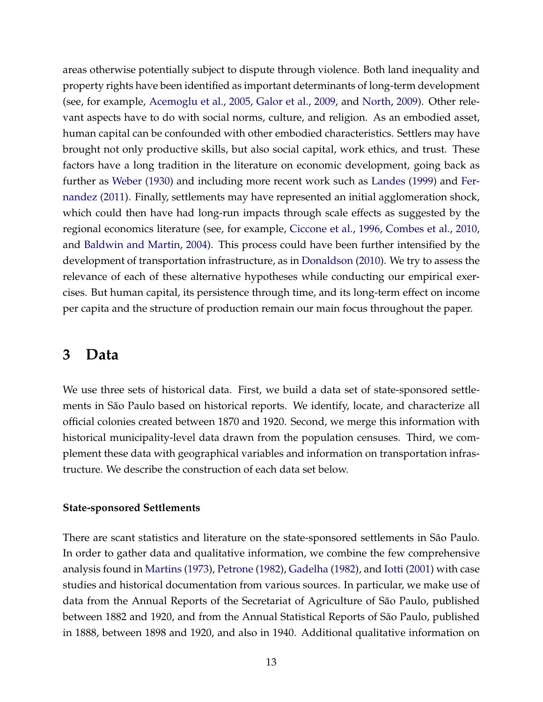areas otherwise potentially subject to dispute through violence. Both land inequality and property rights have been identified as important determinants of long-term development (see, for example, [Acemoglu et al.,](#page-31-8) [2005,](#page-31-8) [Galor et al.,](#page-32-1) [2009,](#page-32-1) and [North,](#page-34-13) [2009\)](#page-34-13). Other relevant aspects have to do with social norms, culture, and religion. As an embodied asset, human capital can be confounded with other embodied characteristics. Settlers may have brought not only productive skills, but also social capital, work ethics, and trust. These factors have a long tradition in the literature on economic development, going back as further as [Weber](#page-35-4) [\(1930\)](#page-35-4) and including more recent work such as [Landes](#page-33-9) [\(1999\)](#page-33-9) and [Fer](#page-32-3)[nandez](#page-32-3) [\(2011\)](#page-32-3). Finally, settlements may have represented an initial agglomeration shock, which could then have had long-run impacts through scale effects as suggested by the regional economics literature (see, for example, [Ciccone et al.,](#page-31-9) [1996,](#page-31-9) [Combes et al.,](#page-32-9) [2010,](#page-32-9) and [Baldwin and Martin,](#page-31-10) [2004\)](#page-31-10). This process could have been further intensified by the development of transportation infrastructure, as in [Donaldson](#page-32-10) [\(2010\)](#page-32-10). We try to assess the relevance of each of these alternative hypotheses while conducting our empirical exercises. But human capital, its persistence through time, and its long-term effect on income per capita and the structure of production remain our main focus throughout the paper.

## <span id="page-15-0"></span>**3 Data**

We use three sets of historical data. First, we build a data set of state-sponsored settlements in São Paulo based on historical reports. We identify, locate, and characterize all official colonies created between 1870 and 1920. Second, we merge this information with historical municipality-level data drawn from the population censuses. Third, we complement these data with geographical variables and information on transportation infrastructure. We describe the construction of each data set below.

#### **State-sponsored Settlements**

There are scant statistics and literature on the state-sponsored settlements in São Paulo. In order to gather data and qualitative information, we combine the few comprehensive analysis found in [Martins](#page-34-6) [\(1973\)](#page-34-6), [Petrone](#page-34-7) [\(1982\)](#page-34-7), [Gadelha](#page-32-11) [\(1982\)](#page-32-11), and [Iotti](#page-33-7) [\(2001\)](#page-33-7) with case studies and historical documentation from various sources. In particular, we make use of data from the Annual Reports of the Secretariat of Agriculture of São Paulo, published between 1882 and 1920, and from the Annual Statistical Reports of São Paulo, published in 1888, between 1898 and 1920, and also in 1940. Additional qualitative information on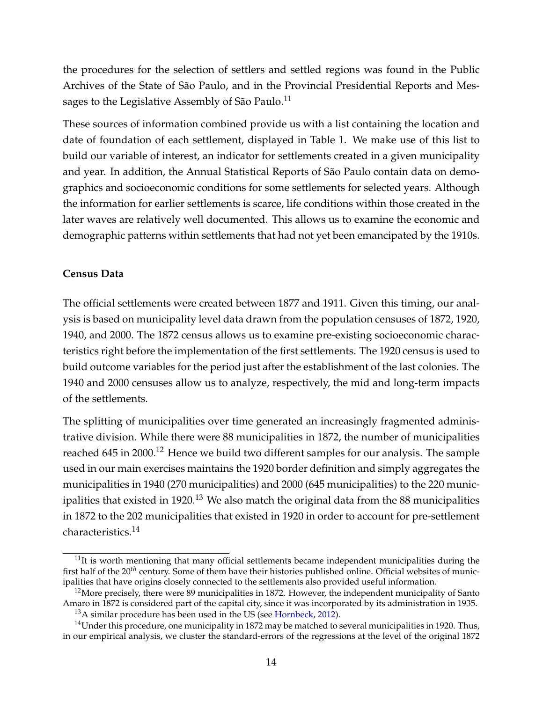the procedures for the selection of settlers and settled regions was found in the Public Archives of the State of São Paulo, and in the Provincial Presidential Reports and Messages to the Legislative Assembly of São Paulo.<sup>11</sup>

These sources of information combined provide us with a list containing the location and date of foundation of each settlement, displayed in Table 1. We make use of this list to build our variable of interest, an indicator for settlements created in a given municipality and year. In addition, the Annual Statistical Reports of São Paulo contain data on demographics and socioeconomic conditions for some settlements for selected years. Although the information for earlier settlements is scarce, life conditions within those created in the later waves are relatively well documented. This allows us to examine the economic and demographic patterns within settlements that had not yet been emancipated by the 1910s.

#### **Census Data**

The official settlements were created between 1877 and 1911. Given this timing, our analysis is based on municipality level data drawn from the population censuses of 1872, 1920, 1940, and 2000. The 1872 census allows us to examine pre-existing socioeconomic characteristics right before the implementation of the first settlements. The 1920 census is used to build outcome variables for the period just after the establishment of the last colonies. The 1940 and 2000 censuses allow us to analyze, respectively, the mid and long-term impacts of the settlements.

The splitting of municipalities over time generated an increasingly fragmented administrative division. While there were 88 municipalities in 1872, the number of municipalities reached 645 in 2000.<sup>12</sup> Hence we build two different samples for our analysis. The sample used in our main exercises maintains the 1920 border definition and simply aggregates the municipalities in 1940 (270 municipalities) and 2000 (645 municipalities) to the 220 municipalities that existed in 1920.<sup>13</sup> We also match the original data from the 88 municipalities in 1872 to the 202 municipalities that existed in 1920 in order to account for pre-settlement characteristics.<sup>14</sup>

 $11$ It is worth mentioning that many official settlements became independent municipalities during the first half of the 20*th* century. Some of them have their histories published online. Official websites of municipalities that have origins closely connected to the settlements also provided useful information.

 $12$ More precisely, there were 89 municipalities in 1872. However, the independent municipality of Santo Amaro in 1872 is considered part of the capital city, since it was incorporated by its administration in 1935.

<sup>&</sup>lt;sup>13</sup>A similar procedure has been used in the US (see [Hornbeck,](#page-33-10) [2012\)](#page-33-10).

 $14$ Under this procedure, one municipality in 1872 may be matched to several municipalities in 1920. Thus, in our empirical analysis, we cluster the standard-errors of the regressions at the level of the original 1872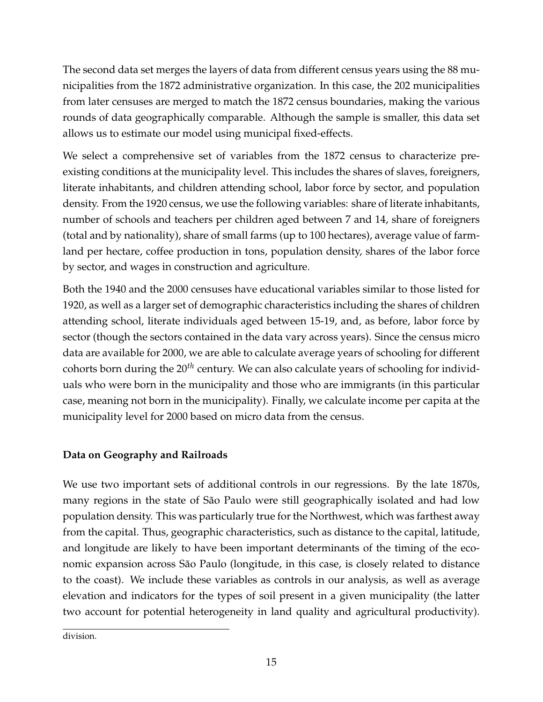The second data set merges the layers of data from different census years using the 88 municipalities from the 1872 administrative organization. In this case, the 202 municipalities from later censuses are merged to match the 1872 census boundaries, making the various rounds of data geographically comparable. Although the sample is smaller, this data set allows us to estimate our model using municipal fixed-effects.

We select a comprehensive set of variables from the 1872 census to characterize preexisting conditions at the municipality level. This includes the shares of slaves, foreigners, literate inhabitants, and children attending school, labor force by sector, and population density. From the 1920 census, we use the following variables: share of literate inhabitants, number of schools and teachers per children aged between 7 and 14, share of foreigners (total and by nationality), share of small farms (up to 100 hectares), average value of farmland per hectare, coffee production in tons, population density, shares of the labor force by sector, and wages in construction and agriculture.

Both the 1940 and the 2000 censuses have educational variables similar to those listed for 1920, as well as a larger set of demographic characteristics including the shares of children attending school, literate individuals aged between 15-19, and, as before, labor force by sector (though the sectors contained in the data vary across years). Since the census micro data are available for 2000, we are able to calculate average years of schooling for different cohorts born during the 20*th* century. We can also calculate years of schooling for individuals who were born in the municipality and those who are immigrants (in this particular case, meaning not born in the municipality). Finally, we calculate income per capita at the municipality level for 2000 based on micro data from the census.

#### **Data on Geography and Railroads**

We use two important sets of additional controls in our regressions. By the late 1870s, many regions in the state of São Paulo were still geographically isolated and had low population density. This was particularly true for the Northwest, which was farthest away from the capital. Thus, geographic characteristics, such as distance to the capital, latitude, and longitude are likely to have been important determinants of the timing of the economic expansion across São Paulo (longitude, in this case, is closely related to distance to the coast). We include these variables as controls in our analysis, as well as average elevation and indicators for the types of soil present in a given municipality (the latter two account for potential heterogeneity in land quality and agricultural productivity).

division.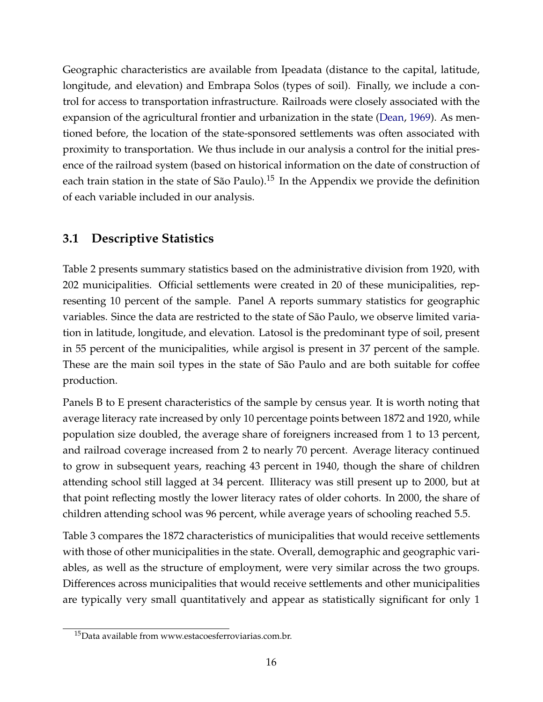Geographic characteristics are available from Ipeadata (distance to the capital, latitude, longitude, and elevation) and Embrapa Solos (types of soil). Finally, we include a control for access to transportation infrastructure. Railroads were closely associated with the expansion of the agricultural frontier and urbanization in the state [\(Dean,](#page-32-12) [1969\)](#page-32-12). As mentioned before, the location of the state-sponsored settlements was often associated with proximity to transportation. We thus include in our analysis a control for the initial presence of the railroad system (based on historical information on the date of construction of each train station in the state of São Paulo).<sup>15</sup> In the Appendix we provide the definition of each variable included in our analysis.

## **3.1 Descriptive Statistics**

Table 2 presents summary statistics based on the administrative division from 1920, with 202 municipalities. Official settlements were created in 20 of these municipalities, representing 10 percent of the sample. Panel A reports summary statistics for geographic variables. Since the data are restricted to the state of São Paulo, we observe limited variation in latitude, longitude, and elevation. Latosol is the predominant type of soil, present in 55 percent of the municipalities, while argisol is present in 37 percent of the sample. These are the main soil types in the state of São Paulo and are both suitable for coffee production.

Panels B to E present characteristics of the sample by census year. It is worth noting that average literacy rate increased by only 10 percentage points between 1872 and 1920, while population size doubled, the average share of foreigners increased from 1 to 13 percent, and railroad coverage increased from 2 to nearly 70 percent. Average literacy continued to grow in subsequent years, reaching 43 percent in 1940, though the share of children attending school still lagged at 34 percent. Illiteracy was still present up to 2000, but at that point reflecting mostly the lower literacy rates of older cohorts. In 2000, the share of children attending school was 96 percent, while average years of schooling reached 5.5.

Table 3 compares the 1872 characteristics of municipalities that would receive settlements with those of other municipalities in the state. Overall, demographic and geographic variables, as well as the structure of employment, were very similar across the two groups. Differences across municipalities that would receive settlements and other municipalities are typically very small quantitatively and appear as statistically significant for only 1

<sup>&</sup>lt;sup>15</sup>Data available from www.estacoesferroviarias.com.br.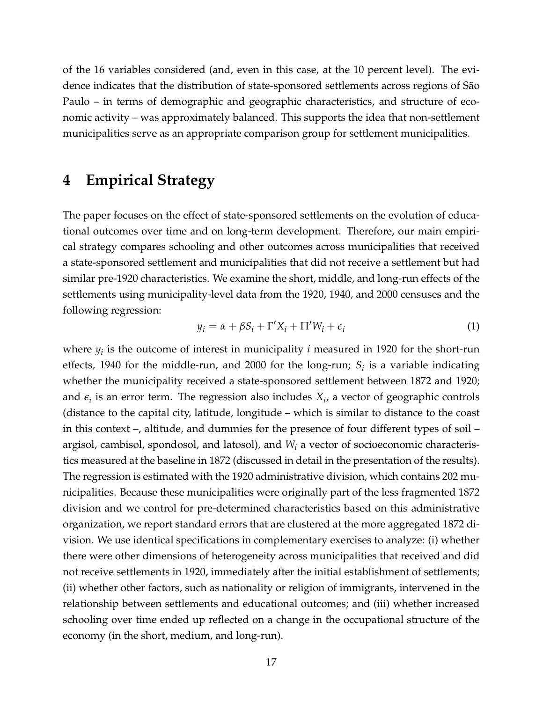of the 16 variables considered (and, even in this case, at the 10 percent level). The evidence indicates that the distribution of state-sponsored settlements across regions of São Paulo – in terms of demographic and geographic characteristics, and structure of economic activity – was approximately balanced. This supports the idea that non-settlement municipalities serve as an appropriate comparison group for settlement municipalities.

### <span id="page-19-0"></span>**4 Empirical Strategy**

The paper focuses on the effect of state-sponsored settlements on the evolution of educational outcomes over time and on long-term development. Therefore, our main empirical strategy compares schooling and other outcomes across municipalities that received a state-sponsored settlement and municipalities that did not receive a settlement but had similar pre-1920 characteristics. We examine the short, middle, and long-run effects of the settlements using municipality-level data from the 1920, 1940, and 2000 censuses and the following regression:

$$
y_i = \alpha + \beta S_i + \Gamma' X_i + \Pi' W_i + \epsilon_i \tag{1}
$$

where *y<sup>i</sup>* is the outcome of interest in municipality *i* measured in 1920 for the short-run effects, 1940 for the middle-run, and 2000 for the long-run; *S<sup>i</sup>* is a variable indicating whether the municipality received a state-sponsored settlement between 1872 and 1920; and  $\epsilon_i$  is an error term. The regression also includes  $X_i$ , a vector of geographic controls (distance to the capital city, latitude, longitude – which is similar to distance to the coast in this context –, altitude, and dummies for the presence of four different types of soil – argisol, cambisol, spondosol, and latosol), and *W<sup>i</sup>* a vector of socioeconomic characteristics measured at the baseline in 1872 (discussed in detail in the presentation of the results). The regression is estimated with the 1920 administrative division, which contains 202 municipalities. Because these municipalities were originally part of the less fragmented 1872 division and we control for pre-determined characteristics based on this administrative organization, we report standard errors that are clustered at the more aggregated 1872 division. We use identical specifications in complementary exercises to analyze: (i) whether there were other dimensions of heterogeneity across municipalities that received and did not receive settlements in 1920, immediately after the initial establishment of settlements; (ii) whether other factors, such as nationality or religion of immigrants, intervened in the relationship between settlements and educational outcomes; and (iii) whether increased schooling over time ended up reflected on a change in the occupational structure of the economy (in the short, medium, and long-run).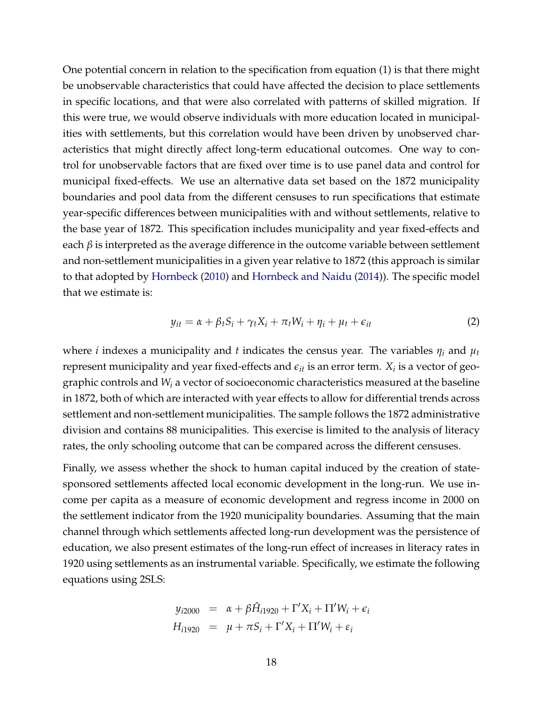One potential concern in relation to the specification from equation (1) is that there might be unobservable characteristics that could have affected the decision to place settlements in specific locations, and that were also correlated with patterns of skilled migration. If this were true, we would observe individuals with more education located in municipalities with settlements, but this correlation would have been driven by unobserved characteristics that might directly affect long-term educational outcomes. One way to control for unobservable factors that are fixed over time is to use panel data and control for municipal fixed-effects. We use an alternative data set based on the 1872 municipality boundaries and pool data from the different censuses to run specifications that estimate year-specific differences between municipalities with and without settlements, relative to the base year of 1872. This specification includes municipality and year fixed-effects and each  $\beta$  is interpreted as the average difference in the outcome variable between settlement and non-settlement municipalities in a given year relative to 1872 (this approach is similar to that adopted by [Hornbeck](#page-33-11) [\(2010\)](#page-33-11) and [Hornbeck and Naidu](#page-33-12) [\(2014\)](#page-33-12)). The specific model that we estimate is:

$$
y_{it} = \alpha + \beta_t S_i + \gamma_t X_i + \pi_t W_i + \eta_i + \mu_t + \epsilon_{it}
$$
 (2)

where *i* indexes a municipality and *t* indicates the census year. The variables *η<sup>i</sup>* and *µ<sup>t</sup>* represent municipality and year fixed-effects and  $\epsilon_{it}$  is an error term.  $X_i$  is a vector of geographic controls and *W<sup>i</sup>* a vector of socioeconomic characteristics measured at the baseline in 1872, both of which are interacted with year effects to allow for differential trends across settlement and non-settlement municipalities. The sample follows the 1872 administrative division and contains 88 municipalities. This exercise is limited to the analysis of literacy rates, the only schooling outcome that can be compared across the different censuses.

Finally, we assess whether the shock to human capital induced by the creation of statesponsored settlements affected local economic development in the long-run. We use income per capita as a measure of economic development and regress income in 2000 on the settlement indicator from the 1920 municipality boundaries. Assuming that the main channel through which settlements affected long-run development was the persistence of education, we also present estimates of the long-run effect of increases in literacy rates in 1920 using settlements as an instrumental variable. Specifically, we estimate the following equations using 2SLS:

$$
y_{i2000} = \alpha + \beta \hat{H}_{i1920} + \Gamma' X_i + \Pi' W_i + \epsilon_i
$$
  

$$
H_{i1920} = \mu + \pi S_i + \Gamma' X_i + \Pi' W_i + \epsilon_i
$$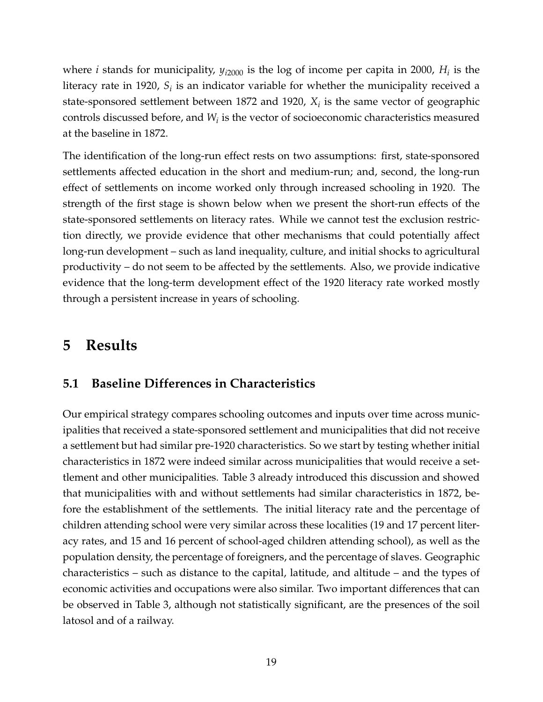where *i* stands for municipality,  $y_{i2000}$  is the log of income per capita in 2000,  $H_i$  is the literacy rate in 1920,  $S_i$  is an indicator variable for whether the municipality received a state-sponsored settlement between 1872 and 1920, *X<sup>i</sup>* is the same vector of geographic controls discussed before, and *W<sup>i</sup>* is the vector of socioeconomic characteristics measured at the baseline in 1872.

The identification of the long-run effect rests on two assumptions: first, state-sponsored settlements affected education in the short and medium-run; and, second, the long-run effect of settlements on income worked only through increased schooling in 1920. The strength of the first stage is shown below when we present the short-run effects of the state-sponsored settlements on literacy rates. While we cannot test the exclusion restriction directly, we provide evidence that other mechanisms that could potentially affect long-run development – such as land inequality, culture, and initial shocks to agricultural productivity – do not seem to be affected by the settlements. Also, we provide indicative evidence that the long-term development effect of the 1920 literacy rate worked mostly through a persistent increase in years of schooling.

## <span id="page-21-0"></span>**5 Results**

## **5.1 Baseline Differences in Characteristics**

Our empirical strategy compares schooling outcomes and inputs over time across municipalities that received a state-sponsored settlement and municipalities that did not receive a settlement but had similar pre-1920 characteristics. So we start by testing whether initial characteristics in 1872 were indeed similar across municipalities that would receive a settlement and other municipalities. Table 3 already introduced this discussion and showed that municipalities with and without settlements had similar characteristics in 1872, before the establishment of the settlements. The initial literacy rate and the percentage of children attending school were very similar across these localities (19 and 17 percent literacy rates, and 15 and 16 percent of school-aged children attending school), as well as the population density, the percentage of foreigners, and the percentage of slaves. Geographic characteristics – such as distance to the capital, latitude, and altitude – and the types of economic activities and occupations were also similar. Two important differences that can be observed in Table 3, although not statistically significant, are the presences of the soil latosol and of a railway.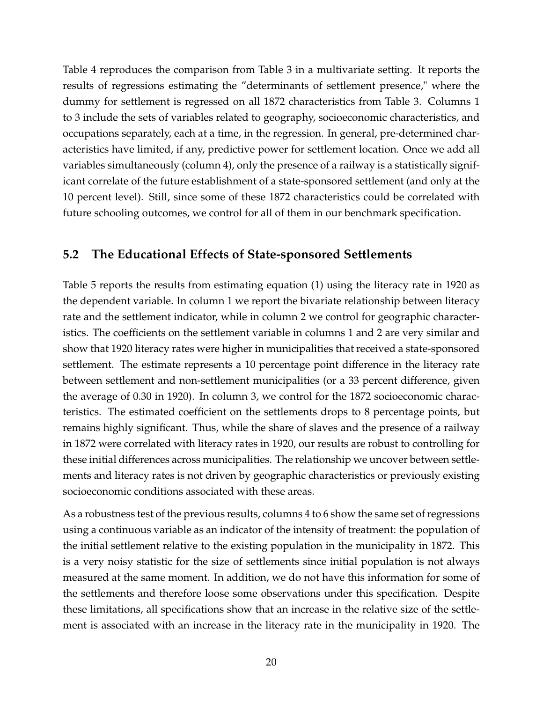Table 4 reproduces the comparison from Table 3 in a multivariate setting. It reports the results of regressions estimating the "determinants of settlement presence," where the dummy for settlement is regressed on all 1872 characteristics from Table 3. Columns 1 to 3 include the sets of variables related to geography, socioeconomic characteristics, and occupations separately, each at a time, in the regression. In general, pre-determined characteristics have limited, if any, predictive power for settlement location. Once we add all variables simultaneously (column 4), only the presence of a railway is a statistically significant correlate of the future establishment of a state-sponsored settlement (and only at the 10 percent level). Still, since some of these 1872 characteristics could be correlated with future schooling outcomes, we control for all of them in our benchmark specification.

### **5.2 The Educational Effects of State-sponsored Settlements**

Table 5 reports the results from estimating equation (1) using the literacy rate in 1920 as the dependent variable. In column 1 we report the bivariate relationship between literacy rate and the settlement indicator, while in column 2 we control for geographic characteristics. The coefficients on the settlement variable in columns 1 and 2 are very similar and show that 1920 literacy rates were higher in municipalities that received a state-sponsored settlement. The estimate represents a 10 percentage point difference in the literacy rate between settlement and non-settlement municipalities (or a 33 percent difference, given the average of 0.30 in 1920). In column 3, we control for the 1872 socioeconomic characteristics. The estimated coefficient on the settlements drops to 8 percentage points, but remains highly significant. Thus, while the share of slaves and the presence of a railway in 1872 were correlated with literacy rates in 1920, our results are robust to controlling for these initial differences across municipalities. The relationship we uncover between settlements and literacy rates is not driven by geographic characteristics or previously existing socioeconomic conditions associated with these areas.

As a robustness test of the previous results, columns 4 to 6 show the same set of regressions using a continuous variable as an indicator of the intensity of treatment: the population of the initial settlement relative to the existing population in the municipality in 1872. This is a very noisy statistic for the size of settlements since initial population is not always measured at the same moment. In addition, we do not have this information for some of the settlements and therefore loose some observations under this specification. Despite these limitations, all specifications show that an increase in the relative size of the settlement is associated with an increase in the literacy rate in the municipality in 1920. The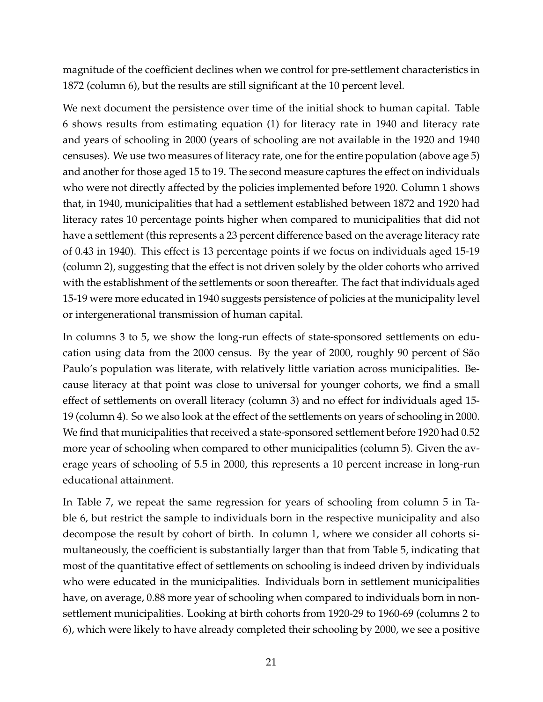magnitude of the coefficient declines when we control for pre-settlement characteristics in 1872 (column 6), but the results are still significant at the 10 percent level.

We next document the persistence over time of the initial shock to human capital. Table 6 shows results from estimating equation (1) for literacy rate in 1940 and literacy rate and years of schooling in 2000 (years of schooling are not available in the 1920 and 1940 censuses). We use two measures of literacy rate, one for the entire population (above age 5) and another for those aged 15 to 19. The second measure captures the effect on individuals who were not directly affected by the policies implemented before 1920. Column 1 shows that, in 1940, municipalities that had a settlement established between 1872 and 1920 had literacy rates 10 percentage points higher when compared to municipalities that did not have a settlement (this represents a 23 percent difference based on the average literacy rate of 0.43 in 1940). This effect is 13 percentage points if we focus on individuals aged 15-19 (column 2), suggesting that the effect is not driven solely by the older cohorts who arrived with the establishment of the settlements or soon thereafter. The fact that individuals aged 15-19 were more educated in 1940 suggests persistence of policies at the municipality level or intergenerational transmission of human capital.

In columns 3 to 5, we show the long-run effects of state-sponsored settlements on education using data from the 2000 census. By the year of 2000, roughly 90 percent of São Paulo's population was literate, with relatively little variation across municipalities. Because literacy at that point was close to universal for younger cohorts, we find a small effect of settlements on overall literacy (column 3) and no effect for individuals aged 15- 19 (column 4). So we also look at the effect of the settlements on years of schooling in 2000. We find that municipalities that received a state-sponsored settlement before 1920 had 0.52 more year of schooling when compared to other municipalities (column 5). Given the average years of schooling of 5.5 in 2000, this represents a 10 percent increase in long-run educational attainment.

In Table 7, we repeat the same regression for years of schooling from column 5 in Table 6, but restrict the sample to individuals born in the respective municipality and also decompose the result by cohort of birth. In column 1, where we consider all cohorts simultaneously, the coefficient is substantially larger than that from Table 5, indicating that most of the quantitative effect of settlements on schooling is indeed driven by individuals who were educated in the municipalities. Individuals born in settlement municipalities have, on average, 0.88 more year of schooling when compared to individuals born in nonsettlement municipalities. Looking at birth cohorts from 1920-29 to 1960-69 (columns 2 to 6), which were likely to have already completed their schooling by 2000, we see a positive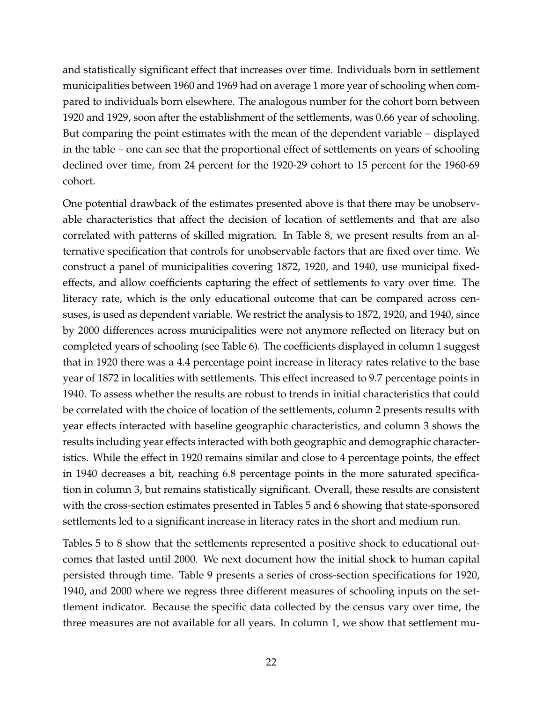and statistically significant effect that increases over time. Individuals born in settlement municipalities between 1960 and 1969 had on average 1 more year of schooling when compared to individuals born elsewhere. The analogous number for the cohort born between 1920 and 1929, soon after the establishment of the settlements, was 0.66 year of schooling. But comparing the point estimates with the mean of the dependent variable – displayed in the table – one can see that the proportional effect of settlements on years of schooling declined over time, from 24 percent for the 1920-29 cohort to 15 percent for the 1960-69 cohort.

One potential drawback of the estimates presented above is that there may be unobservable characteristics that affect the decision of location of settlements and that are also correlated with patterns of skilled migration. In Table 8, we present results from an alternative specification that controls for unobservable factors that are fixed over time. We construct a panel of municipalities covering 1872, 1920, and 1940, use municipal fixedeffects, and allow coefficients capturing the effect of settlements to vary over time. The literacy rate, which is the only educational outcome that can be compared across censuses, is used as dependent variable. We restrict the analysis to 1872, 1920, and 1940, since by 2000 differences across municipalities were not anymore reflected on literacy but on completed years of schooling (see Table 6). The coefficients displayed in column 1 suggest that in 1920 there was a 4.4 percentage point increase in literacy rates relative to the base year of 1872 in localities with settlements. This effect increased to 9.7 percentage points in 1940. To assess whether the results are robust to trends in initial characteristics that could be correlated with the choice of location of the settlements, column 2 presents results with year effects interacted with baseline geographic characteristics, and column 3 shows the results including year effects interacted with both geographic and demographic characteristics. While the effect in 1920 remains similar and close to 4 percentage points, the effect in 1940 decreases a bit, reaching 6.8 percentage points in the more saturated specification in column 3, but remains statistically significant. Overall, these results are consistent with the cross-section estimates presented in Tables 5 and 6 showing that state-sponsored settlements led to a significant increase in literacy rates in the short and medium run.

Tables 5 to 8 show that the settlements represented a positive shock to educational outcomes that lasted until 2000. We next document how the initial shock to human capital persisted through time. Table 9 presents a series of cross-section specifications for 1920, 1940, and 2000 where we regress three different measures of schooling inputs on the settlement indicator. Because the specific data collected by the census vary over time, the three measures are not available for all years. In column 1, we show that settlement mu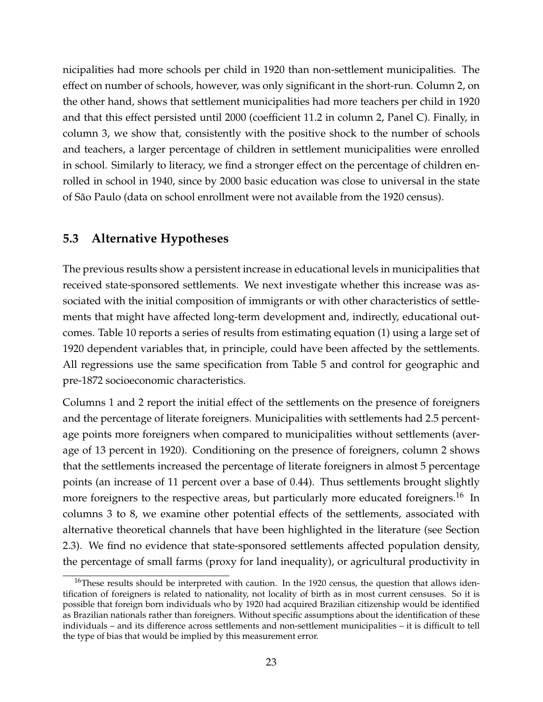nicipalities had more schools per child in 1920 than non-settlement municipalities. The effect on number of schools, however, was only significant in the short-run. Column 2, on the other hand, shows that settlement municipalities had more teachers per child in 1920 and that this effect persisted until 2000 (coefficient 11.2 in column 2, Panel C). Finally, in column 3, we show that, consistently with the positive shock to the number of schools and teachers, a larger percentage of children in settlement municipalities were enrolled in school. Similarly to literacy, we find a stronger effect on the percentage of children enrolled in school in 1940, since by 2000 basic education was close to universal in the state of São Paulo (data on school enrollment were not available from the 1920 census).

### **5.3 Alternative Hypotheses**

The previous results show a persistent increase in educational levels in municipalities that received state-sponsored settlements. We next investigate whether this increase was associated with the initial composition of immigrants or with other characteristics of settlements that might have affected long-term development and, indirectly, educational outcomes. Table 10 reports a series of results from estimating equation (1) using a large set of 1920 dependent variables that, in principle, could have been affected by the settlements. All regressions use the same specification from Table 5 and control for geographic and pre-1872 socioeconomic characteristics.

Columns 1 and 2 report the initial effect of the settlements on the presence of foreigners and the percentage of literate foreigners. Municipalities with settlements had 2.5 percentage points more foreigners when compared to municipalities without settlements (average of 13 percent in 1920). Conditioning on the presence of foreigners, column 2 shows that the settlements increased the percentage of literate foreigners in almost 5 percentage points (an increase of 11 percent over a base of 0.44). Thus settlements brought slightly more foreigners to the respective areas, but particularly more educated foreigners.<sup>16</sup> In columns 3 to 8, we examine other potential effects of the settlements, associated with alternative theoretical channels that have been highlighted in the literature (see Section 2.3). We find no evidence that state-sponsored settlements affected population density, the percentage of small farms (proxy for land inequality), or agricultural productivity in

<sup>&</sup>lt;sup>16</sup>These results should be interpreted with caution. In the 1920 census, the question that allows identification of foreigners is related to nationality, not locality of birth as in most current censuses. So it is possible that foreign born individuals who by 1920 had acquired Brazilian citizenship would be identified as Brazilian nationals rather than foreigners. Without specific assumptions about the identification of these individuals – and its difference across settlements and non-settlement municipalities – it is difficult to tell the type of bias that would be implied by this measurement error.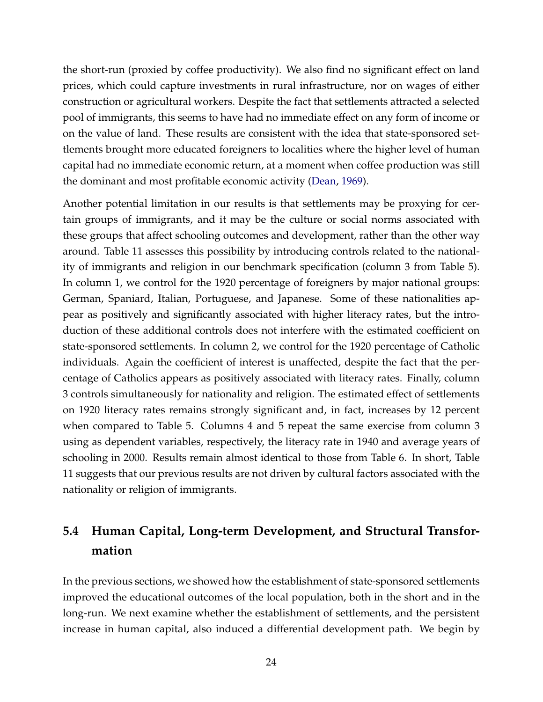the short-run (proxied by coffee productivity). We also find no significant effect on land prices, which could capture investments in rural infrastructure, nor on wages of either construction or agricultural workers. Despite the fact that settlements attracted a selected pool of immigrants, this seems to have had no immediate effect on any form of income or on the value of land. These results are consistent with the idea that state-sponsored settlements brought more educated foreigners to localities where the higher level of human capital had no immediate economic return, at a moment when coffee production was still the dominant and most profitable economic activity [\(Dean,](#page-32-12) [1969\)](#page-32-12).

Another potential limitation in our results is that settlements may be proxying for certain groups of immigrants, and it may be the culture or social norms associated with these groups that affect schooling outcomes and development, rather than the other way around. Table 11 assesses this possibility by introducing controls related to the nationality of immigrants and religion in our benchmark specification (column 3 from Table 5). In column 1, we control for the 1920 percentage of foreigners by major national groups: German, Spaniard, Italian, Portuguese, and Japanese. Some of these nationalities appear as positively and significantly associated with higher literacy rates, but the introduction of these additional controls does not interfere with the estimated coefficient on state-sponsored settlements. In column 2, we control for the 1920 percentage of Catholic individuals. Again the coefficient of interest is unaffected, despite the fact that the percentage of Catholics appears as positively associated with literacy rates. Finally, column 3 controls simultaneously for nationality and religion. The estimated effect of settlements on 1920 literacy rates remains strongly significant and, in fact, increases by 12 percent when compared to Table 5. Columns 4 and 5 repeat the same exercise from column 3 using as dependent variables, respectively, the literacy rate in 1940 and average years of schooling in 2000. Results remain almost identical to those from Table 6. In short, Table 11 suggests that our previous results are not driven by cultural factors associated with the nationality or religion of immigrants.

## **5.4 Human Capital, Long-term Development, and Structural Transformation**

In the previous sections, we showed how the establishment of state-sponsored settlements improved the educational outcomes of the local population, both in the short and in the long-run. We next examine whether the establishment of settlements, and the persistent increase in human capital, also induced a differential development path. We begin by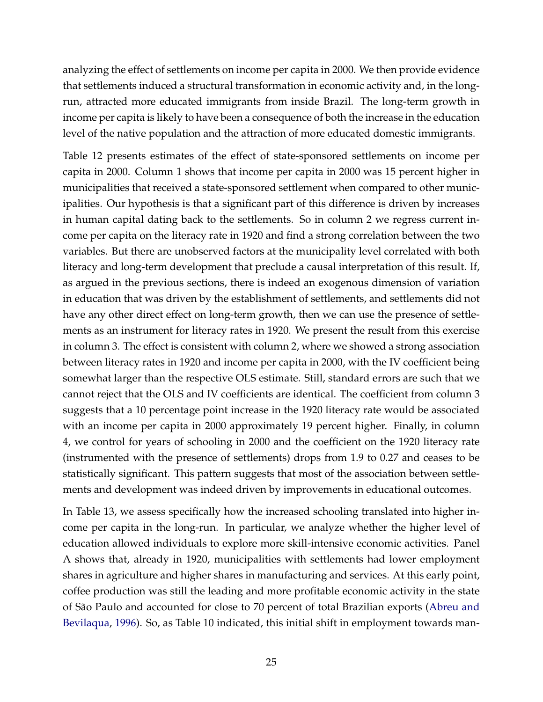analyzing the effect of settlements on income per capita in 2000. We then provide evidence that settlements induced a structural transformation in economic activity and, in the longrun, attracted more educated immigrants from inside Brazil. The long-term growth in income per capita is likely to have been a consequence of both the increase in the education level of the native population and the attraction of more educated domestic immigrants.

Table 12 presents estimates of the effect of state-sponsored settlements on income per capita in 2000. Column 1 shows that income per capita in 2000 was 15 percent higher in municipalities that received a state-sponsored settlement when compared to other municipalities. Our hypothesis is that a significant part of this difference is driven by increases in human capital dating back to the settlements. So in column 2 we regress current income per capita on the literacy rate in 1920 and find a strong correlation between the two variables. But there are unobserved factors at the municipality level correlated with both literacy and long-term development that preclude a causal interpretation of this result. If, as argued in the previous sections, there is indeed an exogenous dimension of variation in education that was driven by the establishment of settlements, and settlements did not have any other direct effect on long-term growth, then we can use the presence of settlements as an instrument for literacy rates in 1920. We present the result from this exercise in column 3. The effect is consistent with column 2, where we showed a strong association between literacy rates in 1920 and income per capita in 2000, with the IV coefficient being somewhat larger than the respective OLS estimate. Still, standard errors are such that we cannot reject that the OLS and IV coefficients are identical. The coefficient from column 3 suggests that a 10 percentage point increase in the 1920 literacy rate would be associated with an income per capita in 2000 approximately 19 percent higher. Finally, in column 4, we control for years of schooling in 2000 and the coefficient on the 1920 literacy rate (instrumented with the presence of settlements) drops from 1.9 to 0.27 and ceases to be statistically significant. This pattern suggests that most of the association between settlements and development was indeed driven by improvements in educational outcomes.

In Table 13, we assess specifically how the increased schooling translated into higher income per capita in the long-run. In particular, we analyze whether the higher level of education allowed individuals to explore more skill-intensive economic activities. Panel A shows that, already in 1920, municipalities with settlements had lower employment shares in agriculture and higher shares in manufacturing and services. At this early point, coffee production was still the leading and more profitable economic activity in the state of São Paulo and accounted for close to 70 percent of total Brazilian exports [\(Abreu and](#page-31-11) [Bevilaqua,](#page-31-11) [1996\)](#page-31-11). So, as Table 10 indicated, this initial shift in employment towards man-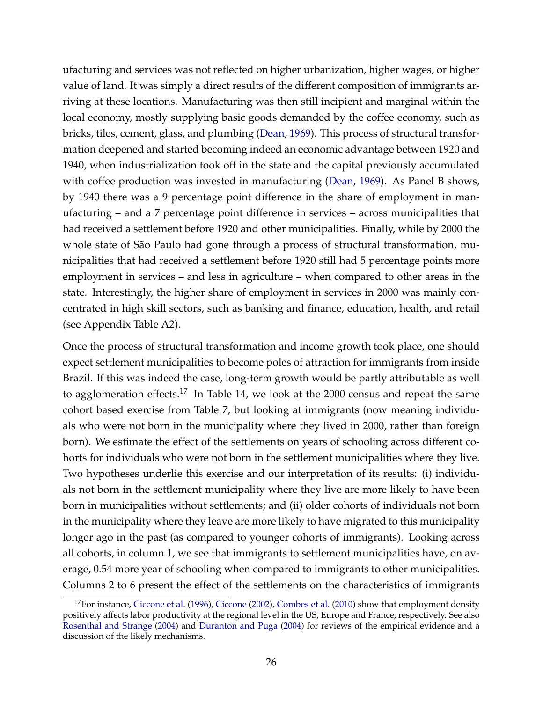ufacturing and services was not reflected on higher urbanization, higher wages, or higher value of land. It was simply a direct results of the different composition of immigrants arriving at these locations. Manufacturing was then still incipient and marginal within the local economy, mostly supplying basic goods demanded by the coffee economy, such as bricks, tiles, cement, glass, and plumbing [\(Dean,](#page-32-12) [1969\)](#page-32-12). This process of structural transformation deepened and started becoming indeed an economic advantage between 1920 and 1940, when industrialization took off in the state and the capital previously accumulated with coffee production was invested in manufacturing [\(Dean,](#page-32-12) [1969\)](#page-32-12). As Panel B shows, by 1940 there was a 9 percentage point difference in the share of employment in manufacturing – and a 7 percentage point difference in services – across municipalities that had received a settlement before 1920 and other municipalities. Finally, while by 2000 the whole state of São Paulo had gone through a process of structural transformation, municipalities that had received a settlement before 1920 still had 5 percentage points more employment in services – and less in agriculture – when compared to other areas in the state. Interestingly, the higher share of employment in services in 2000 was mainly concentrated in high skill sectors, such as banking and finance, education, health, and retail (see Appendix Table A2).

Once the process of structural transformation and income growth took place, one should expect settlement municipalities to become poles of attraction for immigrants from inside Brazil. If this was indeed the case, long-term growth would be partly attributable as well to agglomeration effects.<sup>17</sup> In Table 14, we look at the 2000 census and repeat the same cohort based exercise from Table 7, but looking at immigrants (now meaning individuals who were not born in the municipality where they lived in 2000, rather than foreign born). We estimate the effect of the settlements on years of schooling across different cohorts for individuals who were not born in the settlement municipalities where they live. Two hypotheses underlie this exercise and our interpretation of its results: (i) individuals not born in the settlement municipality where they live are more likely to have been born in municipalities without settlements; and (ii) older cohorts of individuals not born in the municipality where they leave are more likely to have migrated to this municipality longer ago in the past (as compared to younger cohorts of immigrants). Looking across all cohorts, in column 1, we see that immigrants to settlement municipalities have, on average, 0.54 more year of schooling when compared to immigrants to other municipalities. Columns 2 to 6 present the effect of the settlements on the characteristics of immigrants

 $17$  For instance, [Ciccone et al.](#page-31-9) [\(1996\)](#page-31-9), [Ciccone](#page-31-12) [\(2002\)](#page-31-12), [Combes et al.](#page-32-9) [\(2010\)](#page-32-9) show that employment density positively affects labor productivity at the regional level in the US, Europe and France, respectively. See also [Rosenthal and Strange](#page-34-14) [\(2004\)](#page-34-14) and [Duranton and Puga](#page-32-13) [\(2004\)](#page-32-13) for reviews of the empirical evidence and a discussion of the likely mechanisms.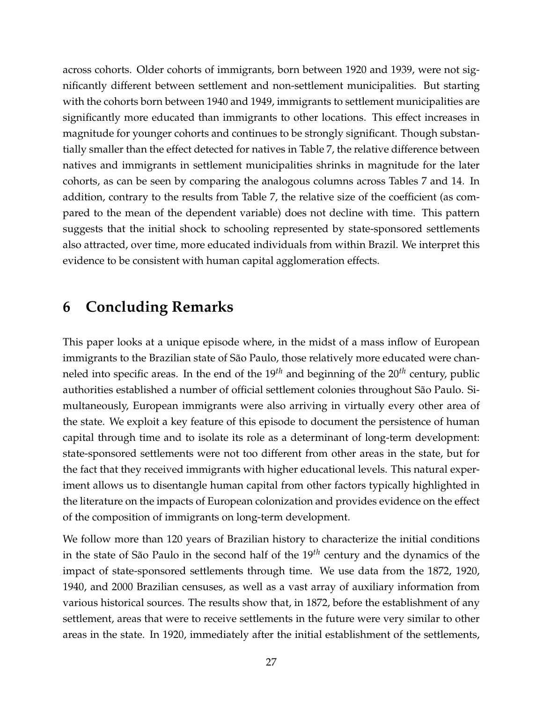across cohorts. Older cohorts of immigrants, born between 1920 and 1939, were not significantly different between settlement and non-settlement municipalities. But starting with the cohorts born between 1940 and 1949, immigrants to settlement municipalities are significantly more educated than immigrants to other locations. This effect increases in magnitude for younger cohorts and continues to be strongly significant. Though substantially smaller than the effect detected for natives in Table 7, the relative difference between natives and immigrants in settlement municipalities shrinks in magnitude for the later cohorts, as can be seen by comparing the analogous columns across Tables 7 and 14. In addition, contrary to the results from Table 7, the relative size of the coefficient (as compared to the mean of the dependent variable) does not decline with time. This pattern suggests that the initial shock to schooling represented by state-sponsored settlements also attracted, over time, more educated individuals from within Brazil. We interpret this evidence to be consistent with human capital agglomeration effects.

## <span id="page-29-0"></span>**6 Concluding Remarks**

This paper looks at a unique episode where, in the midst of a mass inflow of European immigrants to the Brazilian state of São Paulo, those relatively more educated were channeled into specific areas. In the end of the 19*th* and beginning of the 20*th* century, public authorities established a number of official settlement colonies throughout São Paulo. Simultaneously, European immigrants were also arriving in virtually every other area of the state. We exploit a key feature of this episode to document the persistence of human capital through time and to isolate its role as a determinant of long-term development: state-sponsored settlements were not too different from other areas in the state, but for the fact that they received immigrants with higher educational levels. This natural experiment allows us to disentangle human capital from other factors typically highlighted in the literature on the impacts of European colonization and provides evidence on the effect of the composition of immigrants on long-term development.

We follow more than 120 years of Brazilian history to characterize the initial conditions in the state of São Paulo in the second half of the 19*th* century and the dynamics of the impact of state-sponsored settlements through time. We use data from the 1872, 1920, 1940, and 2000 Brazilian censuses, as well as a vast array of auxiliary information from various historical sources. The results show that, in 1872, before the establishment of any settlement, areas that were to receive settlements in the future were very similar to other areas in the state. In 1920, immediately after the initial establishment of the settlements,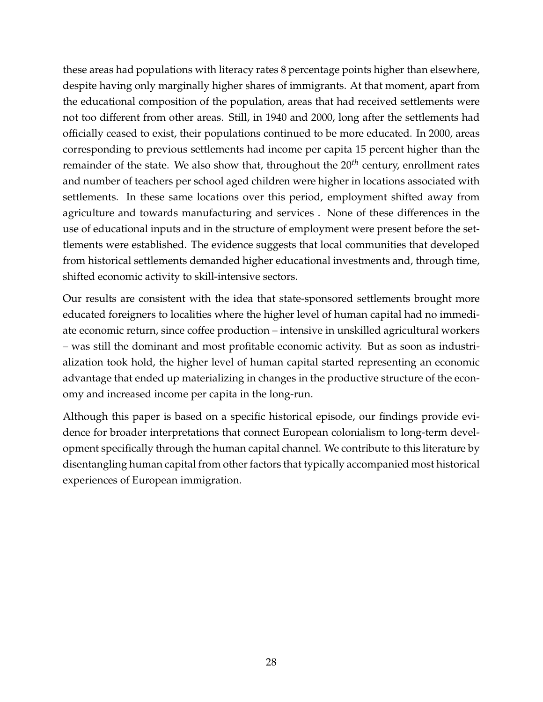these areas had populations with literacy rates 8 percentage points higher than elsewhere, despite having only marginally higher shares of immigrants. At that moment, apart from the educational composition of the population, areas that had received settlements were not too different from other areas. Still, in 1940 and 2000, long after the settlements had officially ceased to exist, their populations continued to be more educated. In 2000, areas corresponding to previous settlements had income per capita 15 percent higher than the remainder of the state. We also show that, throughout the 20*th* century, enrollment rates and number of teachers per school aged children were higher in locations associated with settlements. In these same locations over this period, employment shifted away from agriculture and towards manufacturing and services . None of these differences in the use of educational inputs and in the structure of employment were present before the settlements were established. The evidence suggests that local communities that developed from historical settlements demanded higher educational investments and, through time, shifted economic activity to skill-intensive sectors.

Our results are consistent with the idea that state-sponsored settlements brought more educated foreigners to localities where the higher level of human capital had no immediate economic return, since coffee production – intensive in unskilled agricultural workers – was still the dominant and most profitable economic activity. But as soon as industrialization took hold, the higher level of human capital started representing an economic advantage that ended up materializing in changes in the productive structure of the economy and increased income per capita in the long-run.

Although this paper is based on a specific historical episode, our findings provide evidence for broader interpretations that connect European colonialism to long-term development specifically through the human capital channel. We contribute to this literature by disentangling human capital from other factors that typically accompanied most historical experiences of European immigration.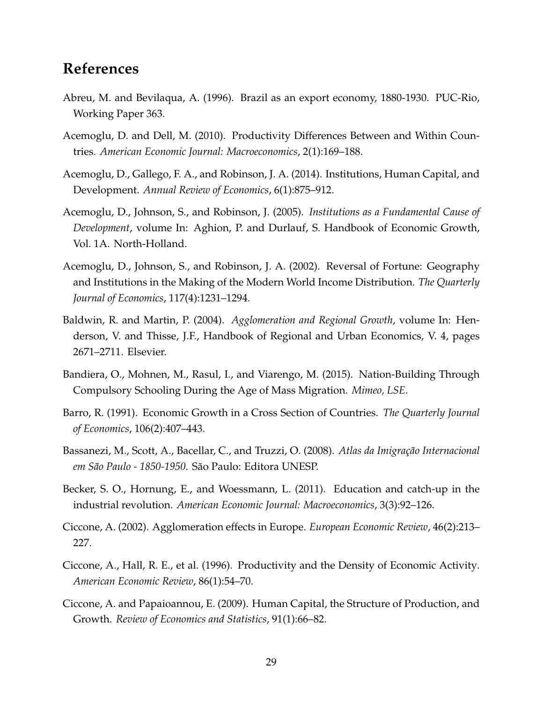## **References**

- <span id="page-31-11"></span>Abreu, M. and Bevilaqua, A. (1996). Brazil as an export economy, 1880-1930. PUC-Rio, Working Paper 363.
- <span id="page-31-2"></span>Acemoglu, D. and Dell, M. (2010). Productivity Differences Between and Within Countries. *American Economic Journal: Macroeconomics*, 2(1):169–188.
- <span id="page-31-1"></span>Acemoglu, D., Gallego, F. A., and Robinson, J. A. (2014). Institutions, Human Capital, and Development. *Annual Review of Economics*, 6(1):875–912.
- <span id="page-31-8"></span>Acemoglu, D., Johnson, S., and Robinson, J. (2005). *Institutions as a Fundamental Cause of Development*, volume In: Aghion, P. and Durlauf, S. Handbook of Economic Growth, Vol. 1A. North-Holland.
- <span id="page-31-0"></span>Acemoglu, D., Johnson, S., and Robinson, J. A. (2002). Reversal of Fortune: Geography and Institutions in the Making of the Modern World Income Distribution. *The Quarterly Journal of Economics*, 117(4):1231–1294.
- <span id="page-31-10"></span>Baldwin, R. and Martin, P. (2004). *Agglomeration and Regional Growth*, volume In: Henderson, V. and Thisse, J.F., Handbook of Regional and Urban Economics, V. 4, pages 2671–2711. Elsevier.
- <span id="page-31-3"></span>Bandiera, O., Mohnen, M., Rasul, I., and Viarengo, M. (2015). Nation-Building Through Compulsory Schooling During the Age of Mass Migration. *Mimeo, LSE*.
- <span id="page-31-7"></span>Barro, R. (1991). Economic Growth in a Cross Section of Countries. *The Quarterly Journal of Economics*, 106(2):407–443.
- <span id="page-31-6"></span>Bassanezi, M., Scott, A., Bacellar, C., and Truzzi, O. (2008). *Atlas da Imigração Internacional em São Paulo - 1850-1950*. São Paulo: Editora UNESP.
- <span id="page-31-4"></span>Becker, S. O., Hornung, E., and Woessmann, L. (2011). Education and catch-up in the industrial revolution. *American Economic Journal: Macroeconomics*, 3(3):92–126.
- <span id="page-31-12"></span>Ciccone, A. (2002). Agglomeration effects in Europe. *European Economic Review*, 46(2):213– 227.
- <span id="page-31-9"></span>Ciccone, A., Hall, R. E., et al. (1996). Productivity and the Density of Economic Activity. *American Economic Review*, 86(1):54–70.
- <span id="page-31-5"></span>Ciccone, A. and Papaioannou, E. (2009). Human Capital, the Structure of Production, and Growth. *Review of Economics and Statistics*, 91(1):66–82.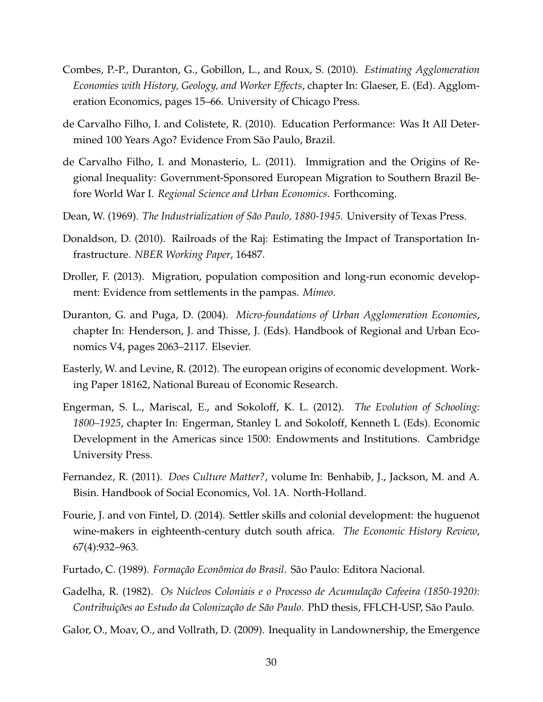- <span id="page-32-9"></span>Combes, P.-P., Duranton, G., Gobillon, L., and Roux, S. (2010). *Estimating Agglomeration Economies with History, Geology, and Worker Effects*, chapter In: Glaeser, E. (Ed). Agglomeration Economics, pages 15–66. University of Chicago Press.
- <span id="page-32-5"></span>de Carvalho Filho, I. and Colistete, R. (2010). Education Performance: Was It All Determined 100 Years Ago? Evidence From São Paulo, Brazil.
- <span id="page-32-6"></span>de Carvalho Filho, I. and Monasterio, L. (2011). Immigration and the Origins of Regional Inequality: Government-Sponsored European Migration to Southern Brazil Before World War I. *Regional Science and Urban Economics*. Forthcoming.
- <span id="page-32-12"></span>Dean, W. (1969). *The Industrialization of São Paulo, 1880-1945*. University of Texas Press.
- <span id="page-32-10"></span>Donaldson, D. (2010). Railroads of the Raj: Estimating the Impact of Transportation Infrastructure. *NBER Working Paper*, 16487.
- <span id="page-32-7"></span>Droller, F. (2013). Migration, population composition and long-run economic development: Evidence from settlements in the pampas. *Mimeo*.
- <span id="page-32-13"></span>Duranton, G. and Puga, D. (2004). *Micro-foundations of Urban Agglomeration Economies*, chapter In: Henderson, J. and Thisse, J. (Eds). Handbook of Regional and Urban Economics V4, pages 2063–2117. Elsevier.
- <span id="page-32-2"></span>Easterly, W. and Levine, R. (2012). The european origins of economic development. Working Paper 18162, National Bureau of Economic Research.
- <span id="page-32-0"></span>Engerman, S. L., Mariscal, E., and Sokoloff, K. L. (2012). *The Evolution of Schooling: 1800–1925*, chapter In: Engerman, Stanley L and Sokoloff, Kenneth L (Eds). Economic Development in the Americas since 1500: Endowments and Institutions. Cambridge University Press.
- <span id="page-32-3"></span>Fernandez, R. (2011). *Does Culture Matter?*, volume In: Benhabib, J., Jackson, M. and A. Bisin. Handbook of Social Economics, Vol. 1A. North-Holland.
- <span id="page-32-4"></span>Fourie, J. and von Fintel, D. (2014). Settler skills and colonial development: the huguenot wine-makers in eighteenth-century dutch south africa. *The Economic History Review*, 67(4):932–963.
- <span id="page-32-8"></span>Furtado, C. (1989). *Formação Econômica do Brasil*. São Paulo: Editora Nacional.
- <span id="page-32-11"></span>Gadelha, R. (1982). *Os Núcleos Coloniais e o Processo de Acumulação Cafeeira (1850-1920): Contribuições ao Estudo da Colonização de São Paulo*. PhD thesis, FFLCH-USP, São Paulo.
- <span id="page-32-1"></span>Galor, O., Moav, O., and Vollrath, D. (2009). Inequality in Landownership, the Emergence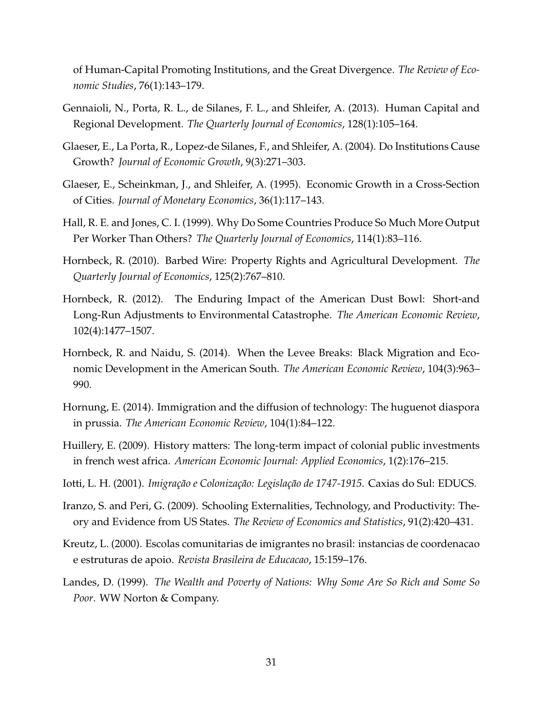of Human-Capital Promoting Institutions, and the Great Divergence. *The Review of Economic Studies*, 76(1):143–179.

- <span id="page-33-2"></span>Gennaioli, N., Porta, R. L., de Silanes, F. L., and Shleifer, A. (2013). Human Capital and Regional Development. *The Quarterly Journal of Economics*, 128(1):105–164.
- <span id="page-33-1"></span>Glaeser, E., La Porta, R., Lopez-de Silanes, F., and Shleifer, A. (2004). Do Institutions Cause Growth? *Journal of Economic Growth*, 9(3):271–303.
- <span id="page-33-5"></span>Glaeser, E., Scheinkman, J., and Shleifer, A. (1995). Economic Growth in a Cross-Section of Cities. *Journal of Monetary Economics*, 36(1):117–143.
- <span id="page-33-0"></span>Hall, R. E. and Jones, C. I. (1999). Why Do Some Countries Produce So Much More Output Per Worker Than Others? *The Quarterly Journal of Economics*, 114(1):83–116.
- <span id="page-33-11"></span>Hornbeck, R. (2010). Barbed Wire: Property Rights and Agricultural Development. *The Quarterly Journal of Economics*, 125(2):767–810.
- <span id="page-33-10"></span>Hornbeck, R. (2012). The Enduring Impact of the American Dust Bowl: Short-and Long-Run Adjustments to Environmental Catastrophe. *The American Economic Review*, 102(4):1477–1507.
- <span id="page-33-12"></span>Hornbeck, R. and Naidu, S. (2014). When the Levee Breaks: Black Migration and Economic Development in the American South. *The American Economic Review*, 104(3):963– 990.
- <span id="page-33-4"></span>Hornung, E. (2014). Immigration and the diffusion of technology: The huguenot diaspora in prussia. *The American Economic Review*, 104(1):84–122.
- <span id="page-33-3"></span>Huillery, E. (2009). History matters: The long-term impact of colonial public investments in french west africa. *American Economic Journal: Applied Economics*, 1(2):176–215.
- <span id="page-33-7"></span>Iotti, L. H. (2001). *Imigração e Colonização: Legislação de 1747-1915*. Caxias do Sul: EDUCS.
- <span id="page-33-6"></span>Iranzo, S. and Peri, G. (2009). Schooling Externalities, Technology, and Productivity: Theory and Evidence from US States. *The Review of Economics and Statistics*, 91(2):420–431.
- <span id="page-33-8"></span>Kreutz, L. (2000). Escolas comunitarias de imigrantes no brasil: instancias de coordenacao e estruturas de apoio. *Revista Brasileira de Educacao*, 15:159–176.
- <span id="page-33-9"></span>Landes, D. (1999). *The Wealth and Poverty of Nations: Why Some Are So Rich and Some So Poor*. WW Norton & Company.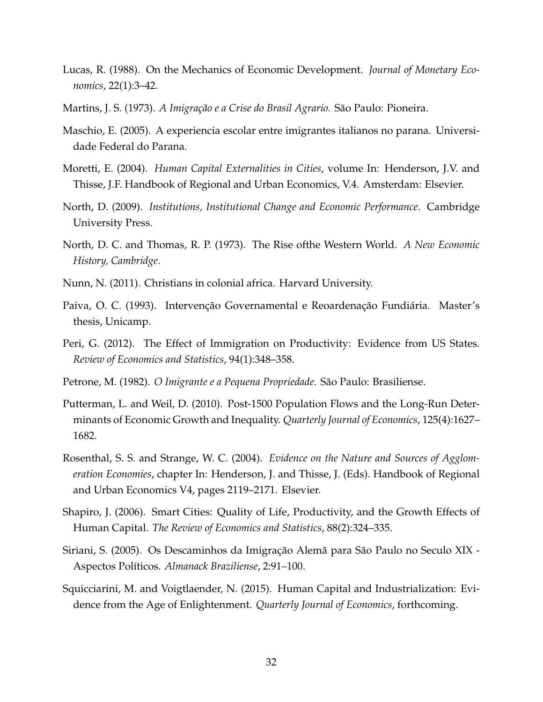- <span id="page-34-10"></span>Lucas, R. (1988). On the Mechanics of Economic Development. *Journal of Monetary Economics*, 22(1):3–42.
- <span id="page-34-6"></span>Martins, J. S. (1973). *A Imigração e a Crise do Brasil Agrario*. São Paulo: Pioneira.
- <span id="page-34-12"></span>Maschio, E. (2005). A experiencia escolar entre imigrantes italianos no parana. Universidade Federal do Parana.
- <span id="page-34-11"></span>Moretti, E. (2004). *Human Capital Externalities in Cities*, volume In: Henderson, J.V. and Thisse, J.F. Handbook of Regional and Urban Economics, V.4. Amsterdam: Elsevier.
- <span id="page-34-13"></span>North, D. (2009). *Institutions, Institutional Change and Economic Performance*. Cambridge University Press.
- <span id="page-34-0"></span>North, D. C. and Thomas, R. P. (1973). The Rise ofthe Western World. *A New Economic History, Cambridge*.
- <span id="page-34-3"></span>Nunn, N. (2011). Christians in colonial africa. Harvard University.
- <span id="page-34-8"></span>Paiva, O. C. (1993). Intervenção Governamental e Reoardenação Fundiária. Master's thesis, Unicamp.
- <span id="page-34-1"></span>Peri, G. (2012). The Effect of Immigration on Productivity: Evidence from US States. *Review of Economics and Statistics*, 94(1):348–358.
- <span id="page-34-7"></span>Petrone, M. (1982). *O Imigrante e a Pequena Propriedade*. São Paulo: Brasiliense.
- <span id="page-34-2"></span>Putterman, L. and Weil, D. (2010). Post-1500 Population Flows and the Long-Run Determinants of Economic Growth and Inequality. *Quarterly Journal of Economics*, 125(4):1627– 1682.
- <span id="page-34-14"></span>Rosenthal, S. S. and Strange, W. C. (2004). *Evidence on the Nature and Sources of Agglomeration Economies*, chapter In: Henderson, J. and Thisse, J. (Eds). Handbook of Regional and Urban Economics V4, pages 2119–2171. Elsevier.
- <span id="page-34-5"></span>Shapiro, J. (2006). Smart Cities: Quality of Life, Productivity, and the Growth Effects of Human Capital. *The Review of Economics and Statistics*, 88(2):324–335.
- <span id="page-34-9"></span>Siriani, S. (2005). Os Descaminhos da Imigração Alemã para São Paulo no Seculo XIX - Aspectos Políticos. *Almanack Braziliense*, 2:91–100.
- <span id="page-34-4"></span>Squicciarini, M. and Voigtlaender, N. (2015). Human Capital and Industrialization: Evidence from the Age of Enlightenment. *Quarterly Journal of Economics*, forthcoming.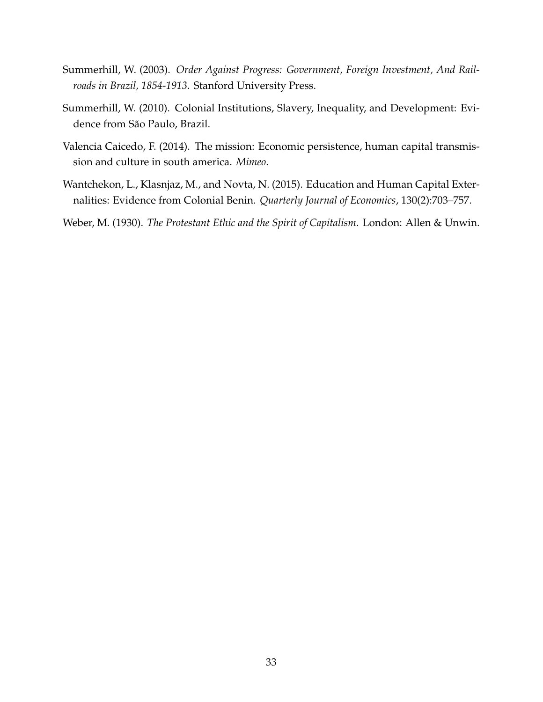- <span id="page-35-3"></span>Summerhill, W. (2003). *Order Against Progress: Government, Foreign Investment, And Railroads in Brazil, 1854-1913*. Stanford University Press.
- <span id="page-35-1"></span>Summerhill, W. (2010). Colonial Institutions, Slavery, Inequality, and Development: Evidence from São Paulo, Brazil.
- <span id="page-35-2"></span>Valencia Caicedo, F. (2014). The mission: Economic persistence, human capital transmission and culture in south america. *Mimeo*.
- <span id="page-35-0"></span>Wantchekon, L., Klasnjaz, M., and Novta, N. (2015). Education and Human Capital Externalities: Evidence from Colonial Benin. *Quarterly Journal of Economics*, 130(2):703–757.
- <span id="page-35-4"></span>Weber, M. (1930). *The Protestant Ethic and the Spirit of Capitalism*. London: Allen & Unwin.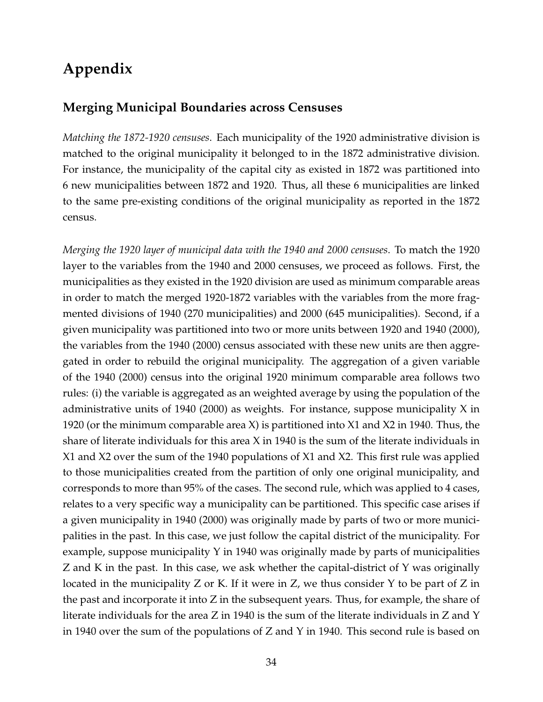## **Appendix**

#### **Merging Municipal Boundaries across Censuses**

*Matching the 1872-1920 censuses*. Each municipality of the 1920 administrative division is matched to the original municipality it belonged to in the 1872 administrative division. For instance, the municipality of the capital city as existed in 1872 was partitioned into 6 new municipalities between 1872 and 1920. Thus, all these 6 municipalities are linked to the same pre-existing conditions of the original municipality as reported in the 1872 census.

*Merging the 1920 layer of municipal data with the 1940 and 2000 censuses*. To match the 1920 layer to the variables from the 1940 and 2000 censuses, we proceed as follows. First, the municipalities as they existed in the 1920 division are used as minimum comparable areas in order to match the merged 1920-1872 variables with the variables from the more fragmented divisions of 1940 (270 municipalities) and 2000 (645 municipalities). Second, if a given municipality was partitioned into two or more units between 1920 and 1940 (2000), the variables from the 1940 (2000) census associated with these new units are then aggregated in order to rebuild the original municipality. The aggregation of a given variable of the 1940 (2000) census into the original 1920 minimum comparable area follows two rules: (i) the variable is aggregated as an weighted average by using the population of the administrative units of 1940 (2000) as weights. For instance, suppose municipality X in 1920 (or the minimum comparable area X) is partitioned into X1 and X2 in 1940. Thus, the share of literate individuals for this area X in 1940 is the sum of the literate individuals in X1 and X2 over the sum of the 1940 populations of X1 and X2. This first rule was applied to those municipalities created from the partition of only one original municipality, and corresponds to more than 95% of the cases. The second rule, which was applied to 4 cases, relates to a very specific way a municipality can be partitioned. This specific case arises if a given municipality in 1940 (2000) was originally made by parts of two or more municipalities in the past. In this case, we just follow the capital district of the municipality. For example, suppose municipality Y in 1940 was originally made by parts of municipalities Z and K in the past. In this case, we ask whether the capital-district of Y was originally located in the municipality Z or K. If it were in Z, we thus consider Y to be part of Z in the past and incorporate it into Z in the subsequent years. Thus, for example, the share of literate individuals for the area Z in 1940 is the sum of the literate individuals in Z and Y in 1940 over the sum of the populations of Z and Y in 1940. This second rule is based on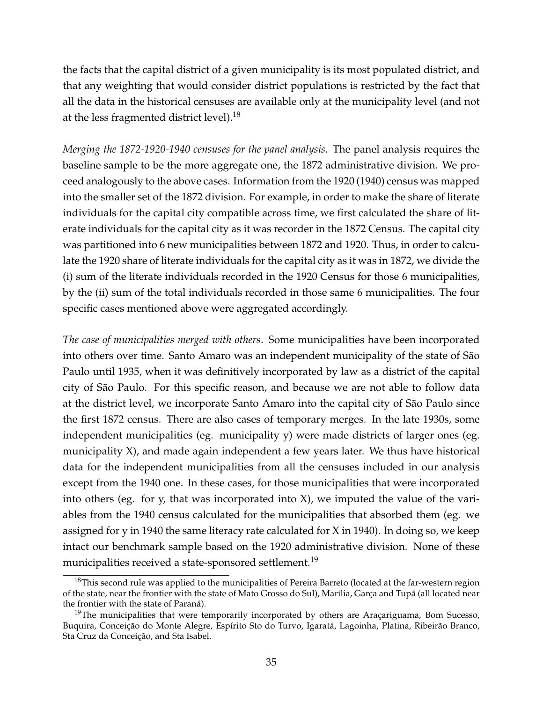the facts that the capital district of a given municipality is its most populated district, and that any weighting that would consider district populations is restricted by the fact that all the data in the historical censuses are available only at the municipality level (and not at the less fragmented district level).<sup>18</sup>

*Merging the 1872-1920-1940 censuses for the panel analysis*. The panel analysis requires the baseline sample to be the more aggregate one, the 1872 administrative division. We proceed analogously to the above cases. Information from the 1920 (1940) census was mapped into the smaller set of the 1872 division. For example, in order to make the share of literate individuals for the capital city compatible across time, we first calculated the share of literate individuals for the capital city as it was recorder in the 1872 Census. The capital city was partitioned into 6 new municipalities between 1872 and 1920. Thus, in order to calculate the 1920 share of literate individuals for the capital city as it was in 1872, we divide the (i) sum of the literate individuals recorded in the 1920 Census for those 6 municipalities, by the (ii) sum of the total individuals recorded in those same 6 municipalities. The four specific cases mentioned above were aggregated accordingly.

*The case of municipalities merged with others*. Some municipalities have been incorporated into others over time. Santo Amaro was an independent municipality of the state of São Paulo until 1935, when it was definitively incorporated by law as a district of the capital city of São Paulo. For this specific reason, and because we are not able to follow data at the district level, we incorporate Santo Amaro into the capital city of São Paulo since the first 1872 census. There are also cases of temporary merges. In the late 1930s, some independent municipalities (eg. municipality y) were made districts of larger ones (eg. municipality X), and made again independent a few years later. We thus have historical data for the independent municipalities from all the censuses included in our analysis except from the 1940 one. In these cases, for those municipalities that were incorporated into others (eg. for y, that was incorporated into  $X$ ), we imputed the value of the variables from the 1940 census calculated for the municipalities that absorbed them (eg. we assigned for y in 1940 the same literacy rate calculated for X in 1940). In doing so, we keep intact our benchmark sample based on the 1920 administrative division. None of these municipalities received a state-sponsored settlement.<sup>19</sup>

<sup>&</sup>lt;sup>18</sup>This second rule was applied to the municipalities of Pereira Barreto (located at the far-western region of the state, near the frontier with the state of Mato Grosso do Sul), Marília, Garça and Tupã (all located near the frontier with the state of Paraná).

<sup>&</sup>lt;sup>19</sup>The municipalities that were temporarily incorporated by others are Araçariguama, Bom Sucesso, Buquira, Conceição do Monte Alegre, Espírito Sto do Turvo, Igaratá, Lagoinha, Platina, Ribeirão Branco, Sta Cruz da Conceição, and Sta Isabel.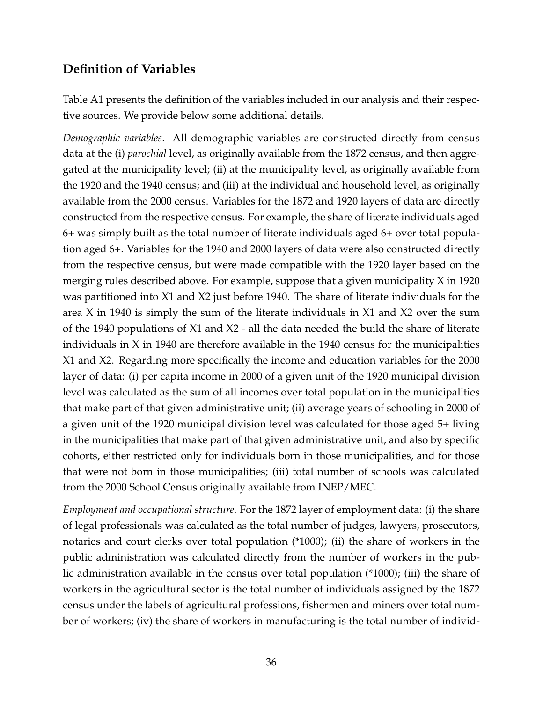### **Definition of Variables**

Table A1 presents the definition of the variables included in our analysis and their respective sources. We provide below some additional details.

*Demographic variables*. All demographic variables are constructed directly from census data at the (i) *parochial* level, as originally available from the 1872 census, and then aggregated at the municipality level; (ii) at the municipality level, as originally available from the 1920 and the 1940 census; and (iii) at the individual and household level, as originally available from the 2000 census. Variables for the 1872 and 1920 layers of data are directly constructed from the respective census. For example, the share of literate individuals aged 6+ was simply built as the total number of literate individuals aged 6+ over total population aged 6+. Variables for the 1940 and 2000 layers of data were also constructed directly from the respective census, but were made compatible with the 1920 layer based on the merging rules described above. For example, suppose that a given municipality X in 1920 was partitioned into X1 and X2 just before 1940. The share of literate individuals for the area X in 1940 is simply the sum of the literate individuals in X1 and X2 over the sum of the 1940 populations of X1 and X2 - all the data needed the build the share of literate individuals in X in 1940 are therefore available in the 1940 census for the municipalities X1 and X2. Regarding more specifically the income and education variables for the 2000 layer of data: (i) per capita income in 2000 of a given unit of the 1920 municipal division level was calculated as the sum of all incomes over total population in the municipalities that make part of that given administrative unit; (ii) average years of schooling in 2000 of a given unit of the 1920 municipal division level was calculated for those aged 5+ living in the municipalities that make part of that given administrative unit, and also by specific cohorts, either restricted only for individuals born in those municipalities, and for those that were not born in those municipalities; (iii) total number of schools was calculated from the 2000 School Census originally available from INEP/MEC.

*Employment and occupational structure*. For the 1872 layer of employment data: (i) the share of legal professionals was calculated as the total number of judges, lawyers, prosecutors, notaries and court clerks over total population (\*1000); (ii) the share of workers in the public administration was calculated directly from the number of workers in the public administration available in the census over total population (\*1000); (iii) the share of workers in the agricultural sector is the total number of individuals assigned by the 1872 census under the labels of agricultural professions, fishermen and miners over total number of workers; (iv) the share of workers in manufacturing is the total number of individ-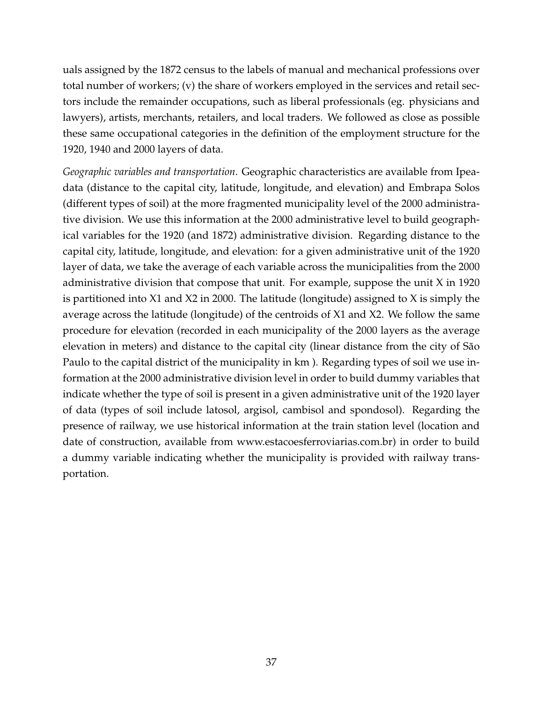uals assigned by the 1872 census to the labels of manual and mechanical professions over total number of workers; (v) the share of workers employed in the services and retail sectors include the remainder occupations, such as liberal professionals (eg. physicians and lawyers), artists, merchants, retailers, and local traders. We followed as close as possible these same occupational categories in the definition of the employment structure for the 1920, 1940 and 2000 layers of data.

*Geographic variables and transportation*. Geographic characteristics are available from Ipeadata (distance to the capital city, latitude, longitude, and elevation) and Embrapa Solos (different types of soil) at the more fragmented municipality level of the 2000 administrative division. We use this information at the 2000 administrative level to build geographical variables for the 1920 (and 1872) administrative division. Regarding distance to the capital city, latitude, longitude, and elevation: for a given administrative unit of the 1920 layer of data, we take the average of each variable across the municipalities from the 2000 administrative division that compose that unit. For example, suppose the unit X in 1920 is partitioned into X1 and X2 in 2000. The latitude (longitude) assigned to X is simply the average across the latitude (longitude) of the centroids of X1 and X2. We follow the same procedure for elevation (recorded in each municipality of the 2000 layers as the average elevation in meters) and distance to the capital city (linear distance from the city of São Paulo to the capital district of the municipality in km ). Regarding types of soil we use information at the 2000 administrative division level in order to build dummy variables that indicate whether the type of soil is present in a given administrative unit of the 1920 layer of data (types of soil include latosol, argisol, cambisol and spondosol). Regarding the presence of railway, we use historical information at the train station level (location and date of construction, available from www.estacoesferroviarias.com.br) in order to build a dummy variable indicating whether the municipality is provided with railway transportation.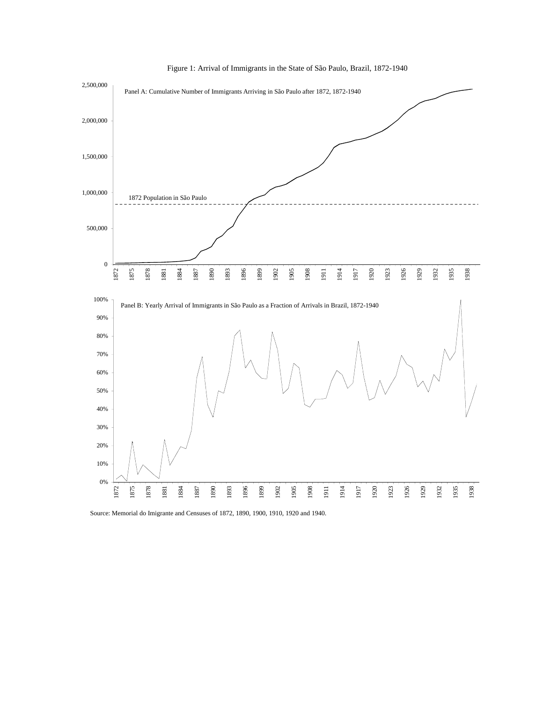

Figure 1: Arrival of Immigrants in the State of São Paulo, Brazil, 1872-1940

Source: Memorial do Imigrante and Censuses of 1872, 1890, 1900, 1910, 1920 and 1940.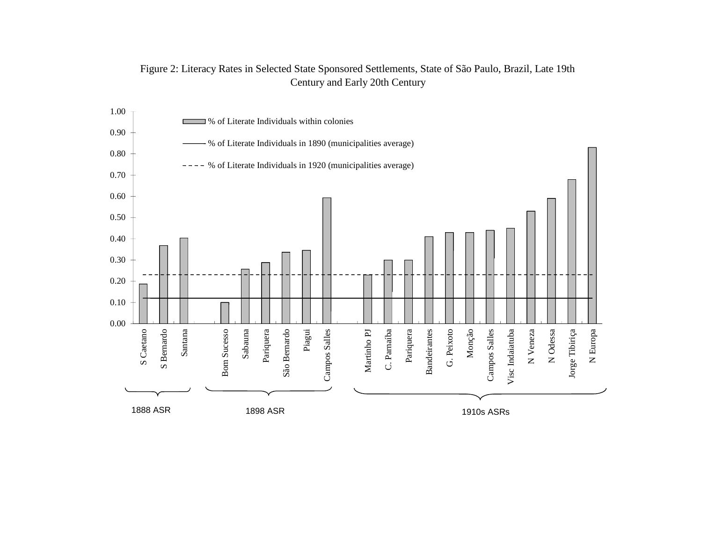

#### Figure 2: Literacy Rates in Selected State Sponsored Settlements, State of São Paulo, Brazil, Late 19th Century and Early 20th Century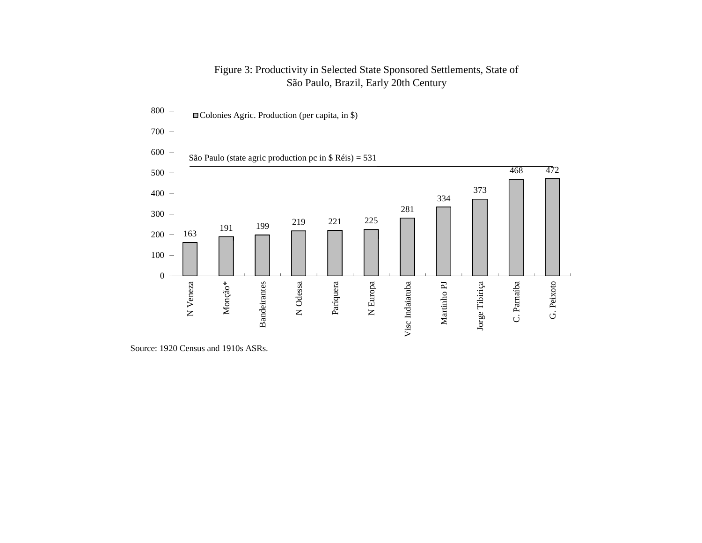#### Figure 3: Productivity in Selected State Sponsored Settlements, State of São Paulo, Brazil, Early 20th Century



Source: 1920 Census and 1910s ASRs.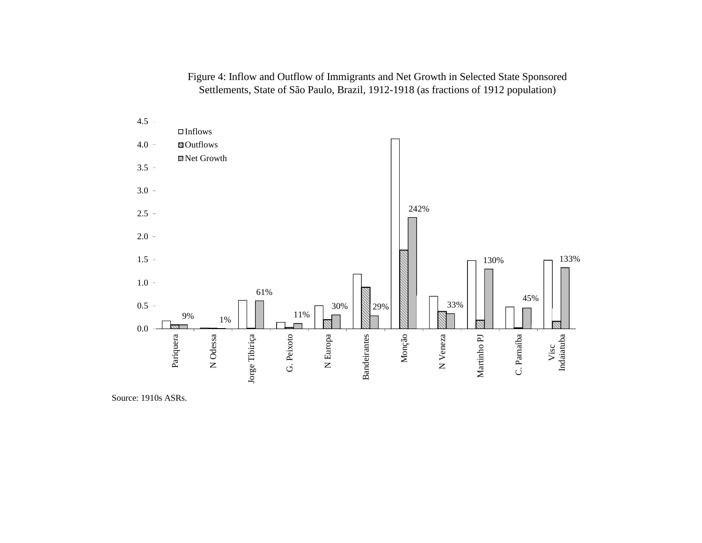Figure 4: Inflow and Outflow of Immigrants and Net Growth in Selected State Sponsored Settlements, State of São Paulo, Brazil, 1912-1918 (as fractions of 1912 population)



Source: 1910s ASRs.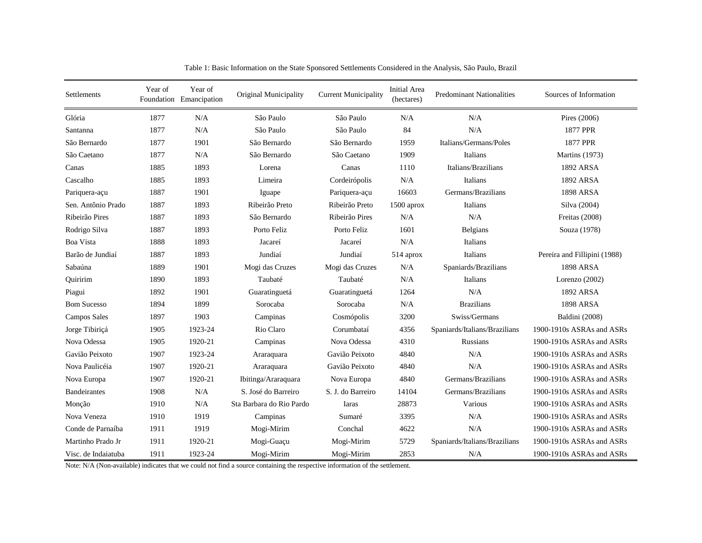| Settlements         | Year of | Year of<br>Foundation Emancipation | Original Municipality    | <b>Current Municipality</b> | <b>Initial Area</b><br>(hectares) | <b>Predominant Nationalities</b> | Sources of Information       |
|---------------------|---------|------------------------------------|--------------------------|-----------------------------|-----------------------------------|----------------------------------|------------------------------|
| Glória              | 1877    | N/A                                | São Paulo                | São Paulo                   | N/A                               | N/A                              | Pires (2006)                 |
| Santanna            | 1877    | N/A                                | São Paulo                | São Paulo                   | 84                                | N/A                              | 1877 PPR                     |
| São Bernardo        | 1877    | 1901                               | São Bernardo             | São Bernardo                | 1959                              | Italians/Germans/Poles           | 1877 PPR                     |
| São Caetano         | 1877    | N/A                                | São Bernardo             | São Caetano                 | 1909                              | Italians                         | <b>Martins</b> (1973)        |
| Canas               | 1885    | 1893                               | Lorena                   | Canas                       | 1110                              | Italians/Brazilians              | 1892 ARSA                    |
| Cascalho            | 1885    | 1893                               | Limeira                  | Cordeirópolis               | N/A                               | Italians                         | 1892 ARSA                    |
| Pariquera-açu       | 1887    | 1901                               | Iguape                   | Pariquera-açu               | 16603                             | Germans/Brazilians               | <b>1898 ARSA</b>             |
| Sen. Antônio Prado  | 1887    | 1893                               | Ribeirão Preto           | Ribeirão Preto              | 1500 aprox                        | Italians                         | Silva (2004)                 |
| Ribeirão Pires      | 1887    | 1893                               | São Bernardo             | Ribeirão Pires              | N/A                               | N/A                              | Freitas (2008)               |
| Rodrigo Silva       | 1887    | 1893                               | Porto Feliz              | Porto Feliz                 | 1601                              | Belgians                         | Souza (1978)                 |
| Boa Vista           | 1888    | 1893                               | Jacareí                  | Jacareí                     | N/A                               | Italians                         |                              |
| Barão de Jundiaí    | 1887    | 1893                               | Jundiaí                  | Jundiaí                     | 514 aprox                         | Italians                         | Pereira and Fillipini (1988) |
| Sabaúna             | 1889    | 1901                               | Mogi das Cruzes          | Mogi das Cruzes             | N/A                               | Spaniards/Brazilians             | <b>1898 ARSA</b>             |
| Ouiririm            | 1890    | 1893                               | Taubaté                  | Taubaté                     | N/A                               | Italians                         | Lorenzo (2002)               |
| Piagui              | 1892    | 1901                               | Guaratinguetá            | Guaratinguetá               | 1264                              | N/A                              | 1892 ARSA                    |
| <b>Bom Sucesso</b>  | 1894    | 1899                               | Sorocaba                 | Sorocaba                    | N/A                               | <b>Brazilians</b>                | <b>1898 ARSA</b>             |
| Campos Sales        | 1897    | 1903                               | Campinas                 | Cosmópolis                  | 3200                              | Swiss/Germans                    | Baldini (2008)               |
| Jorge Tibiriçá      | 1905    | 1923-24                            | Rio Claro                | Corumbataí                  | 4356                              | Spaniards/Italians/Brazilians    | 1900-1910s ASRAs and ASRs    |
| Nova Odessa         | 1905    | 1920-21                            | Campinas                 | Nova Odessa                 | 4310                              | <b>Russians</b>                  | 1900-1910s ASRAs and ASRs    |
| Gavião Peixoto      | 1907    | 1923-24                            | Araraquara               | Gavião Peixoto              | 4840                              | N/A                              | 1900-1910s ASRAs and ASRs    |
| Nova Paulicéia      | 1907    | 1920-21                            | Araraquara               | Gavião Peixoto              | 4840                              | N/A                              | 1900-1910s ASRAs and ASRs    |
| Nova Europa         | 1907    | 1920-21                            | Ibitinga/Araraquara      | Nova Europa                 | 4840                              | Germans/Brazilians               | 1900-1910s ASRAs and ASRs    |
| <b>Bandeirantes</b> | 1908    | N/A                                | S. José do Barreiro      | S. J. do Barreiro           | 14104                             | Germans/Brazilians               | 1900-1910s ASRAs and ASRs    |
| Monção              | 1910    | N/A                                | Sta Barbara do Rio Pardo | Iaras                       | 28873                             | Various                          | 1900-1910s ASRAs and ASRs    |
| Nova Veneza         | 1910    | 1919                               | Campinas                 | Sumaré                      | 3395                              | N/A                              | 1900-1910s ASRAs and ASRs    |
| Conde de Parnaíba   | 1911    | 1919                               | Mogi-Mirim               | Conchal                     | 4622                              | N/A                              | 1900-1910s ASRAs and ASRs    |
| Martinho Prado Jr   | 1911    | 1920-21                            | Mogi-Guaçu               | Mogi-Mirim                  | 5729                              | Spaniards/Italians/Brazilians    | 1900-1910s ASRAs and ASRs    |
| Visc. de Indaiatuba | 1911    | 1923-24                            | Mogi-Mirim               | Mogi-Mirim                  | 2853                              | N/A                              | 1900-1910s ASRAs and ASRs    |

Table 1: Basic Information on the State Sponsored Settlements Considered in the Analysis, São Paulo, Brazil

Note: N/A (Non-available) indicates that we could not find a source containing the respective information of the settlement.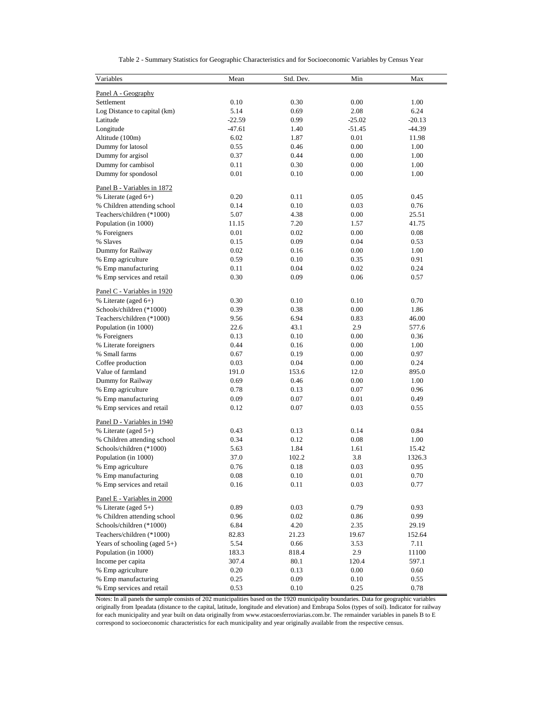| Variables                       | Mean     | Std. Dev. | Min      | Max      |
|---------------------------------|----------|-----------|----------|----------|
| Panel A - Geography             |          |           |          |          |
| Settlement                      | 0.10     | 0.30      | 0.00     | 1.00     |
| Log Distance to capital (km)    | 5.14     | 0.69      | 2.08     | 6.24     |
| Latitude                        | $-22.59$ | 0.99      | $-25.02$ | $-20.13$ |
| Longitude                       | $-47.61$ | 1.40      | $-51.45$ | $-44.39$ |
| Altitude (100m)                 | 6.02     | 1.87      | 0.01     | 11.98    |
| Dummy for latosol               | 0.55     | 0.46      | 0.00     | 1.00     |
| Dummy for argisol               | 0.37     | 0.44      | 0.00     | 1.00     |
| Dummy for cambisol              | 0.11     | 0.30      | 0.00     | 1.00     |
| Dummy for spondosol             | 0.01     | 0.10      | 0.00     | 1.00     |
| Panel B - Variables in 1872     |          |           |          |          |
| % Literate (aged 6+)            | 0.20     | 0.11      | 0.05     | 0.45     |
| % Children attending school     | 0.14     | 0.10      | 0.03     | 0.76     |
| Teachers/children (*1000)       | 5.07     | 4.38      | 0.00     | 25.51    |
| Population (in 1000)            | 11.15    | 7.20      | 1.57     | 41.75    |
| % Foreigners                    | 0.01     | 0.02      | 0.00     | 0.08     |
| % Slaves                        | 0.15     | 0.09      | 0.04     | 0.53     |
| Dummy for Railway               | 0.02     | 0.16      | 0.00     | 1.00     |
| % Emp agriculture               | 0.59     | 0.10      | 0.35     | 0.91     |
| % Emp manufacturing             | 0.11     | 0.04      | 0.02     | 0.24     |
| % Emp services and retail       | 0.30     | 0.09      | 0.06     | 0.57     |
| Panel C - Variables in 1920     |          |           |          |          |
| % Literate (aged 6+)            | 0.30     | 0.10      | 0.10     | 0.70     |
| Schools/children (*1000)        | 0.39     | 0.38      | 0.00     | 1.86     |
| Teachers/children (*1000)       | 9.56     | 6.94      | 0.83     | 46.00    |
| Population (in 1000)            | 22.6     | 43.1      | 2.9      | 577.6    |
| % Foreigners                    | 0.13     | 0.10      | 0.00     | 0.36     |
| % Literate foreigners           | 0.44     | 0.16      | 0.00     | 1.00     |
| % Small farms                   | 0.67     | 0.19      | 0.00     | 0.97     |
| Coffee production               | 0.03     | 0.04      | 0.00     | 0.24     |
| Value of farmland               | 191.0    | 153.6     | 12.0     | 895.0    |
| Dummy for Railway               | 0.69     | 0.46      | 0.00     | 1.00     |
| % Emp agriculture               | 0.78     | 0.13      | 0.07     | 0.96     |
| % Emp manufacturing             | 0.09     | 0.07      | 0.01     | 0.49     |
| % Emp services and retail       | 0.12     | 0.07      | 0.03     | 0.55     |
| Panel D - Variables in 1940     |          |           |          |          |
| % Literate (aged 5+)            | 0.43     | 0.13      | 0.14     | 0.84     |
| % Children attending school     | 0.34     | 0.12      | 0.08     | 1.00     |
| Schools/children (*1000)        | 5.63     | 1.84      | 1.61     | 15.42    |
| Population (in 1000)            | 37.0     | 102.2     | 3.8      | 1326.3   |
| % Emp agriculture               | 0.76     | 0.18      | 0.03     | 0.95     |
| % Emp manufacturing             | 0.08     | 0.10      | 0.01     | 0.70     |
| % Emp services and retail       | 0.16     | 0.11      | 0.03     | 0.77     |
| Panel E - Variables in 2000     |          |           |          |          |
| % Literate (aged $5+$ )         | 0.89     | 0.03      | 0.79     | 0.93     |
| % Children attending school     | 0.96     | 0.02      | 0.86     | 0.99     |
| Schools/children (*1000)        | 6.84     | 4.20      | 2.35     | 29.19    |
| Teachers/children (*1000)       | 82.83    | 21.23     | 19.67    | 152.64   |
| Years of schooling (aged $5+$ ) | 5.54     | 0.66      | 3.53     | 7.11     |
| Population (in 1000)            | 183.3    | 818.4     | 2.9      | 11100    |
| Income per capita               | 307.4    | 80.1      | 120.4    | 597.1    |
| % Emp agriculture               | 0.20     | 0.13      | 0.00     | 0.60     |
| % Emp manufacturing             | 0.25     | 0.09      | 0.10     | 0.55     |
| % Emp services and retail       | 0.53     | 0.10      | 0.25     | 0.78     |

Table 2 - Summary Statistics for Geographic Characteristics and for Socioeconomic Variables by Census Year

Notes: In all panels the sample consists of 202 municipalities based on the 1920 municipality boundaries. Data for geographic variables originally from Ipeadata (distance to the capital, latitude, longitude and elevation) and Embrapa Solos (types of soil). Indicator for railway for each municipality and year built on data originally from www.estacoesferroviarias.com.br. The remainder variables in panels B to E correspond to socioeconomic characteristics for each municipality and year originally available from the respective census.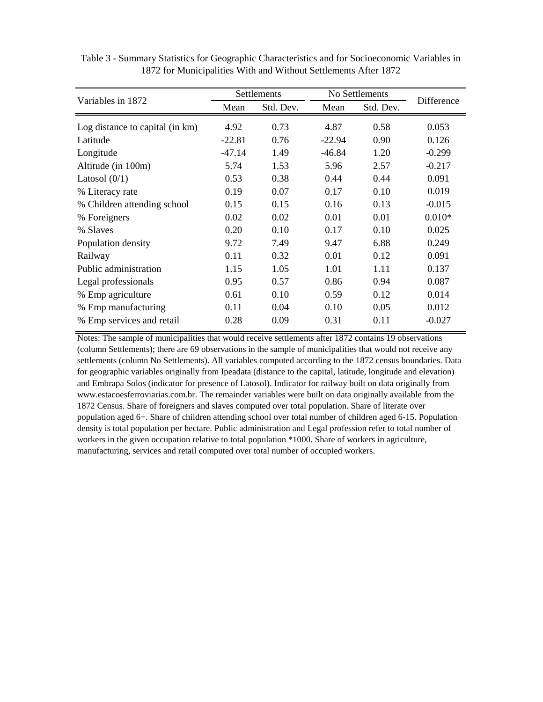|                                 |          | Settlements | No Settlements |           |            |
|---------------------------------|----------|-------------|----------------|-----------|------------|
| Variables in 1872               | Mean     | Std. Dev.   | Mean           | Std. Dev. | Difference |
| Log distance to capital (in km) | 4.92     | 0.73        | 4.87           | 0.58      | 0.053      |
| Latitude                        | $-22.81$ | 0.76        | $-22.94$       | 0.90      | 0.126      |
| Longitude                       | $-47.14$ | 1.49        | $-46.84$       | 1.20      | $-0.299$   |
| Altitude (in 100m)              | 5.74     | 1.53        | 5.96           | 2.57      | $-0.217$   |
| Latosol $(0/1)$                 | 0.53     | 0.38        | 0.44           | 0.44      | 0.091      |
| % Literacy rate                 | 0.19     | 0.07        | 0.17           | 0.10      | 0.019      |
| % Children attending school     | 0.15     | 0.15        | 0.16           | 0.13      | $-0.015$   |
| % Foreigners                    | 0.02     | 0.02        | 0.01           | 0.01      | $0.010*$   |
| % Slaves                        | 0.20     | 0.10        | 0.17           | 0.10      | 0.025      |
| Population density              | 9.72     | 7.49        | 9.47           | 6.88      | 0.249      |
| Railway                         | 0.11     | 0.32        | 0.01           | 0.12      | 0.091      |
| Public administration           | 1.15     | 1.05        | 1.01           | 1.11      | 0.137      |
| Legal professionals             | 0.95     | 0.57        | 0.86           | 0.94      | 0.087      |
| % Emp agriculture               | 0.61     | 0.10        | 0.59           | 0.12      | 0.014      |
| % Emp manufacturing             | 0.11     | 0.04        | 0.10           | 0.05      | 0.012      |
| % Emp services and retail       | 0.28     | 0.09        | 0.31           | 0.11      | $-0.027$   |

Table 3 - Summary Statistics for Geographic Characteristics and for Socioeconomic Variables in 1872 for Municipalities With and Without Settlements After 1872

Notes: The sample of municipalities that would receive settlements after 1872 contains 19 observations (column Settlements); there are 69 observations in the sample of municipalities that would not receive any settlements (column No Settlements). All variables computed according to the 1872 census boundaries. Data for geographic variables originally from Ipeadata (distance to the capital, latitude, longitude and elevation) and Embrapa Solos (indicator for presence of Latosol). Indicator for railway built on data originally from www.estacoesferroviarias.com.br. The remainder variables were built on data originally available from the 1872 Census. Share of foreigners and slaves computed over total population. Share of literate over population aged 6+. Share of children attending school over total number of children aged 6-15. Population density is total population per hectare. Public administration and Legal profession refer to total number of workers in the given occupation relative to total population \*1000. Share of workers in agriculture, manufacturing, services and retail computed over total number of occupied workers.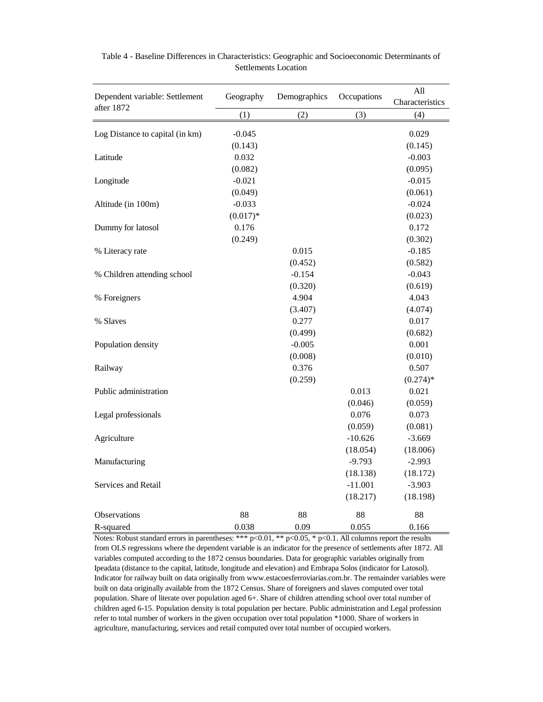| Dependent variable: Settlement<br>after 1872 | Geography  | Demographics | Occupations | All<br>Characteristics |
|----------------------------------------------|------------|--------------|-------------|------------------------|
|                                              | (1)        | (2)          | (3)         | (4)                    |
| Log Distance to capital (in km)              | $-0.045$   |              |             | 0.029                  |
|                                              | (0.143)    |              |             | (0.145)                |
| Latitude                                     | 0.032      |              |             | $-0.003$               |
|                                              | (0.082)    |              |             | (0.095)                |
| Longitude                                    | $-0.021$   |              |             | $-0.015$               |
|                                              | (0.049)    |              |             | (0.061)                |
| Altitude (in 100m)                           | $-0.033$   |              |             | $-0.024$               |
|                                              | $(0.017)*$ |              |             | (0.023)                |
| Dummy for latosol                            | 0.176      |              |             | 0.172                  |
|                                              | (0.249)    |              |             | (0.302)                |
| % Literacy rate                              |            | 0.015        |             | $-0.185$               |
|                                              |            | (0.452)      |             | (0.582)                |
| % Children attending school                  |            | $-0.154$     |             | $-0.043$               |
|                                              |            | (0.320)      |             | (0.619)                |
| % Foreigners                                 |            | 4.904        |             | 4.043                  |
|                                              |            | (3.407)      |             | (4.074)                |
| % Slaves                                     |            | 0.277        |             | 0.017                  |
|                                              |            | (0.499)      |             | (0.682)                |
| Population density                           |            | $-0.005$     |             | 0.001                  |
|                                              |            | (0.008)      |             | (0.010)                |
| Railway                                      |            | 0.376        |             | 0.507                  |
|                                              |            | (0.259)      |             | $(0.274)$ *            |
| Public administration                        |            |              | 0.013       | 0.021                  |
|                                              |            |              | (0.046)     | (0.059)                |
| Legal professionals                          |            |              | 0.076       | 0.073                  |
|                                              |            |              | (0.059)     | (0.081)                |
| Agriculture                                  |            |              | $-10.626$   | $-3.669$               |
|                                              |            |              | (18.054)    | (18.006)               |
| Manufacturing                                |            |              | $-9.793$    | $-2.993$               |
|                                              |            |              | (18.138)    | (18.172)               |
| Services and Retail                          |            |              | $-11.001$   | $-3.903$               |
|                                              |            |              | (18.217)    | (18.198)               |
| Observations                                 | 88         | 88           | 88          | 88                     |
| R-squared                                    | 0.038      | 0.09         | 0.055       | 0.166                  |

Table 4 - Baseline Differences in Characteristics: Geographic and Socioeconomic Determinants of Settlements Location

Notes: Robust standard errors in parentheses: \*\*\*  $p<0.01$ , \*\*  $p<0.05$ , \*  $p<0.1$ . All columns report the results from OLS regressions where the dependent variable is an indicator for the presence of settlements after 1872. All variables computed according to the 1872 census boundaries. Data for geographic variables originally from Ipeadata (distance to the capital, latitude, longitude and elevation) and Embrapa Solos (indicator for Latosol). Indicator for railway built on data originally from www.estacoesferroviarias.com.br. The remainder variables were built on data originally available from the 1872 Census. Share of foreigners and slaves computed over total population. Share of literate over population aged 6+. Share of children attending school over total number of children aged 6-15. Population density is total population per hectare. Public administration and Legal profession refer to total number of workers in the given occupation over total population \*1000. Share of workers in agriculture, manufacturing, services and retail computed over total number of occupied workers.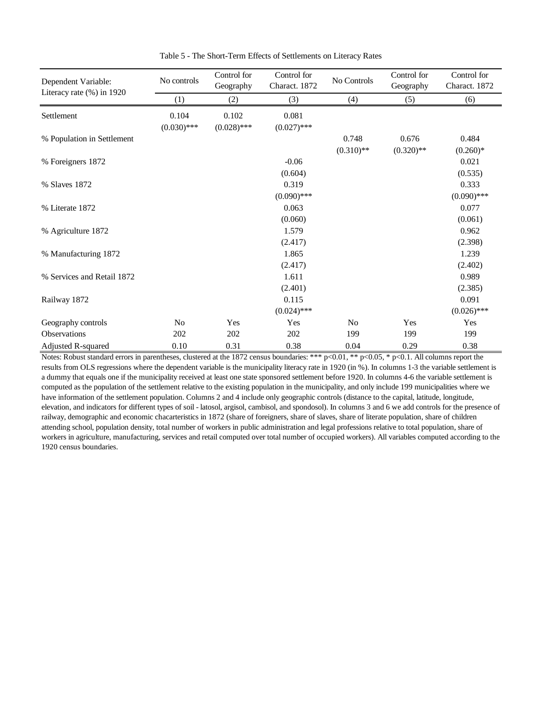| Dependent Variable:           | No controls    | Control for<br>Geography | Control for<br>Charact. 1872 | No Controls    | Control for<br>Geography | Control for<br>Charact. 1872 |
|-------------------------------|----------------|--------------------------|------------------------------|----------------|--------------------------|------------------------------|
| Literacy rate $(\% )$ in 1920 | (1)            | (2)                      | (3)                          | (4)            | (5)                      | (6)                          |
| Settlement                    | 0.104          | 0.102                    | 0.081                        |                |                          |                              |
|                               | $(0.030)$ ***  | $(0.028)$ ***            | $(0.027)$ ***                |                |                          |                              |
| % Population in Settlement    |                |                          |                              | 0.748          | 0.676                    | 0.484                        |
|                               |                |                          |                              | $(0.310)$ **   | $(0.320)$ **             | $(0.260)*$                   |
| % Foreigners 1872             |                |                          | $-0.06$                      |                |                          | 0.021                        |
|                               |                |                          | (0.604)                      |                |                          | (0.535)                      |
| % Slaves 1872                 |                |                          | 0.319                        |                |                          | 0.333                        |
|                               |                |                          | $(0.090)$ ***                |                |                          | $(0.090)$ ***                |
| % Literate 1872               |                |                          | 0.063                        |                |                          | 0.077                        |
|                               |                |                          | (0.060)                      |                |                          | (0.061)                      |
| % Agriculture 1872            |                |                          | 1.579                        |                |                          | 0.962                        |
|                               |                |                          | (2.417)                      |                |                          | (2.398)                      |
| % Manufacturing 1872          |                |                          | 1.865                        |                |                          | 1.239                        |
|                               |                |                          | (2.417)                      |                |                          | (2.402)                      |
| % Services and Retail 1872    |                |                          | 1.611                        |                |                          | 0.989                        |
|                               |                |                          | (2.401)                      |                |                          | (2.385)                      |
| Railway 1872                  |                |                          | 0.115                        |                |                          | 0.091                        |
|                               |                |                          | $(0.024)$ ***                |                |                          | $(0.026)$ ***                |
| Geography controls            | N <sub>0</sub> | Yes                      | Yes                          | N <sub>0</sub> | Yes                      | Yes                          |
| <b>Observations</b>           | 202            | 202                      | 202                          | 199            | 199                      | 199                          |
| Adjusted R-squared            | 0.10           | 0.31                     | 0.38                         | 0.04           | 0.29                     | 0.38                         |

Table 5 - The Short-Term Effects of Settlements on Literacy Rates

Notes: Robust standard errors in parentheses, clustered at the 1872 census boundaries: \*\*\* p<0.01, \*\* p<0.05, \* p<0.1. All columns report the results from OLS regressions where the dependent variable is the municipality literacy rate in 1920 (in %). In columns 1-3 the variable settlement is a dummy that equals one if the municipality received at least one state sponsored settlement before 1920. In columns 4-6 the variable settlement is computed as the population of the settlement relative to the existing population in the municipality, and only include 199 municipalities where we have information of the settlement population. Columns 2 and 4 include only geographic controls (distance to the capital, latitude, longitude, elevation, and indicators for different types of soil - latosol, argisol, cambisol, and spondosol). In columns 3 and 6 we add controls for the presence of railway, demographic and economic chacarteristics in 1872 (share of foreigners, share of slaves, share of literate population, share of children attending school, population density, total number of workers in public administration and legal professions relative to total population, share of workers in agriculture, manufacturing, services and retail computed over total number of occupied workers). All variables computed according to the 1920 census boundaries.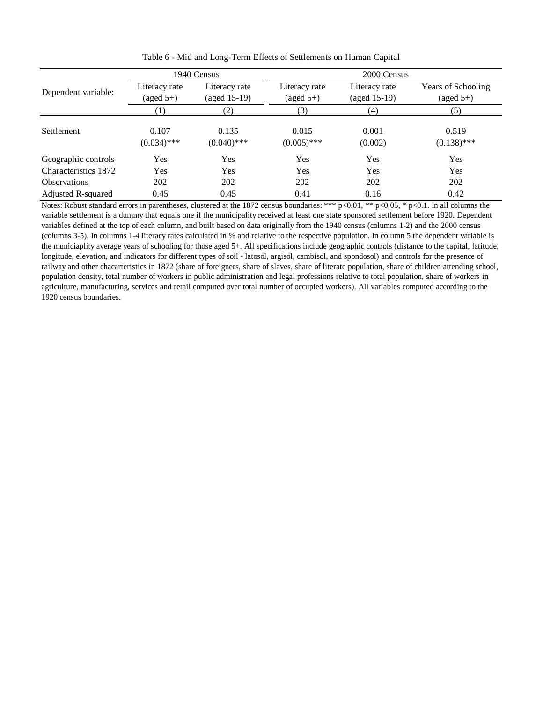|                      |                                      | 1940 Census                   | 2000 Census                          |                                 |                                           |  |
|----------------------|--------------------------------------|-------------------------------|--------------------------------------|---------------------------------|-------------------------------------------|--|
| Dependent variable:  | Literacy rate<br>$(\text{aged } 5+)$ | Literacy rate<br>(aged 15-19) | Literacy rate<br>$(\text{aged } 5+)$ | Literacy rate<br>$(aged 15-19)$ | Years of Schooling<br>$(\text{aged } 5+)$ |  |
|                      |                                      | (2)                           | (3)                                  | (4)                             | (5)                                       |  |
| <b>Settlement</b>    | 0.107<br>$(0.034)$ ***               | 0.135<br>$(0.040)$ ***        | 0.015<br>$(0.005)$ ***               | 0.001<br>(0.002)                | 0.519<br>$(0.138)$ ***                    |  |
| Geographic controls  | Yes                                  | Yes                           | Yes                                  | Yes                             | Yes                                       |  |
| Characteristics 1872 | Yes                                  | Yes                           | Yes                                  | Yes                             | Yes                                       |  |
| <b>Observations</b>  | 202                                  | 202                           | 202                                  | 202                             | 202                                       |  |
| Adjusted R-squared   | 0.45                                 | 0.45                          | 0.41                                 | 0.16                            | 0.42                                      |  |

Table 6 - Mid and Long-Term Effects of Settlements on Human Capital

Notes: Robust standard errors in parentheses, clustered at the 1872 census boundaries: \*\*\* p<0.01, \*\* p<0.05, \* p<0.1. In all columns the variable settlement is a dummy that equals one if the municipality received at least one state sponsored settlement before 1920. Dependent variables defined at the top of each column, and built based on data originally from the 1940 census (columns 1-2) and the 2000 census (columns 3-5). In columns 1-4 literacy rates calculated in % and relative to the respective population. In column 5 the dependent variable is the municiaplity average years of schooling for those aged 5+. All specifications include geographic controls (distance to the capital, latitude, longitude, elevation, and indicators for different types of soil - latosol, argisol, cambisol, and spondosol) and controls for the presence of railway and other chacarteristics in 1872 (share of foreigners, share of slaves, share of literate population, share of children attending school, population density, total number of workers in public administration and legal professions relative to total population, share of workers in agriculture, manufacturing, services and retail computed over total number of occupied workers). All variables computed according to the 1920 census boundaries.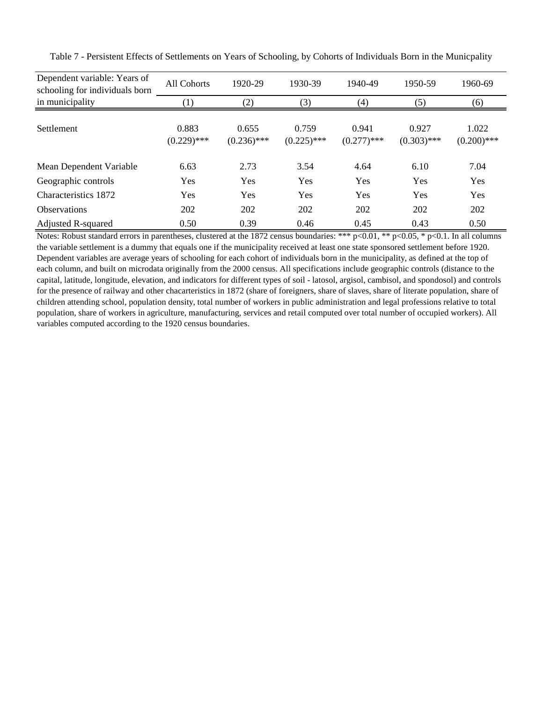| Dependent variable: Years of<br>schooling for individuals born | All Cohorts            | 1920-29                | 1930-39                | 1940-49                | 1950-59                | 1960-69                |
|----------------------------------------------------------------|------------------------|------------------------|------------------------|------------------------|------------------------|------------------------|
| in municipality                                                | (1)                    | (2)                    | (3)                    | (4)                    | (5)                    | (6)                    |
| Settlement                                                     | 0.883<br>$(0.229)$ *** | 0.655<br>$(0.236)$ *** | 0.759<br>$(0.225)$ *** | 0.941<br>$(0.277)$ *** | 0.927<br>$(0.303)$ *** | 1.022<br>$(0.200)$ *** |
| Mean Dependent Variable                                        | 6.63                   | 2.73                   | 3.54                   | 4.64                   | 6.10                   | 7.04                   |
| Geographic controls                                            | Yes                    | Yes                    | Yes                    | Yes                    | <b>Yes</b>             | Yes                    |
| Characteristics 1872                                           | Yes                    | Yes                    | Yes                    | Yes                    | <b>Yes</b>             | Yes                    |
| <b>Observations</b>                                            | 202                    | 202                    | 202                    | 202                    | 202                    | 202                    |
| Adjusted R-squared                                             | 0.50                   | 0.39                   | 0.46                   | 0.45                   | 0.43                   | 0.50                   |

Table 7 - Persistent Effects of Settlements on Years of Schooling, by Cohorts of Individuals Born in the Municpality

Notes: Robust standard errors in parentheses, clustered at the 1872 census boundaries: \*\*\* p<0.01, \*\* p<0.05, \* p<0.1. In all columns the variable settlement is a dummy that equals one if the municipality received at least one state sponsored settlement before 1920. Dependent variables are average years of schooling for each cohort of individuals born in the municipality, as defined at the top of each column, and built on microdata originally from the 2000 census. All specifications include geographic controls (distance to the capital, latitude, longitude, elevation, and indicators for different types of soil - latosol, argisol, cambisol, and spondosol) and controls for the presence of railway and other chacarteristics in 1872 (share of foreigners, share of slaves, share of literate population, share of children attending school, population density, total number of workers in public administration and legal professions relative to total population, share of workers in agriculture, manufacturing, services and retail computed over total number of occupied workers). All variables computed according to the 1920 census boundaries.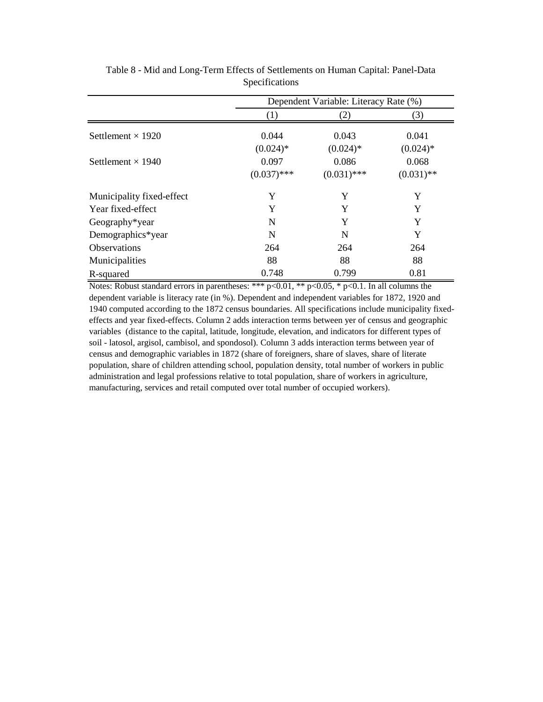|                           | Dependent Variable: Literacy Rate (%) |               |              |  |  |
|---------------------------|---------------------------------------|---------------|--------------|--|--|
|                           | (1)                                   | (2)           | (3)          |  |  |
| Settlement $\times$ 1920  | 0.044                                 | 0.043         | 0.041        |  |  |
|                           | $(0.024)*$                            | $(0.024)$ *   | $(0.024)$ *  |  |  |
| Settlement $\times$ 1940  | 0.097                                 | 0.086         | 0.068        |  |  |
|                           | $(0.037)$ ***                         | $(0.031)$ *** | $(0.031)$ ** |  |  |
| Municipality fixed-effect | Y                                     | Y             | Y            |  |  |
| Year fixed-effect         | Y                                     | Y             | Y            |  |  |
| Geography*year            | N                                     | Y             | Y            |  |  |
| Demographics*year         | N                                     | N             | Y            |  |  |
| <b>Observations</b>       | 264                                   | 264           | 264          |  |  |
| Municipalities            | 88                                    | 88            | 88           |  |  |
| R-squared                 | 0.748                                 | 0.799         | 0.81         |  |  |

Table 8 - Mid and Long-Term Effects of Settlements on Human Capital: Panel-Data Specifications

Notes: Robust standard errors in parentheses: \*\*\*  $p<0.01$ , \*\*  $p<0.05$ , \*  $p<0.1$ . In all columns the dependent variable is literacy rate (in %). Dependent and independent variables for 1872, 1920 and 1940 computed according to the 1872 census boundaries. All specifications include municipality fixedeffects and year fixed-effects. Column 2 adds interaction terms between yer of census and geographic variables (distance to the capital, latitude, longitude, elevation, and indicators for different types of soil - latosol, argisol, cambisol, and spondosol). Column 3 adds interaction terms between year of census and demographic variables in 1872 (share of foreigners, share of slaves, share of literate population, share of children attending school, population density, total number of workers in public administration and legal professions relative to total population, share of workers in agriculture, manufacturing, services and retail computed over total number of occupied workers).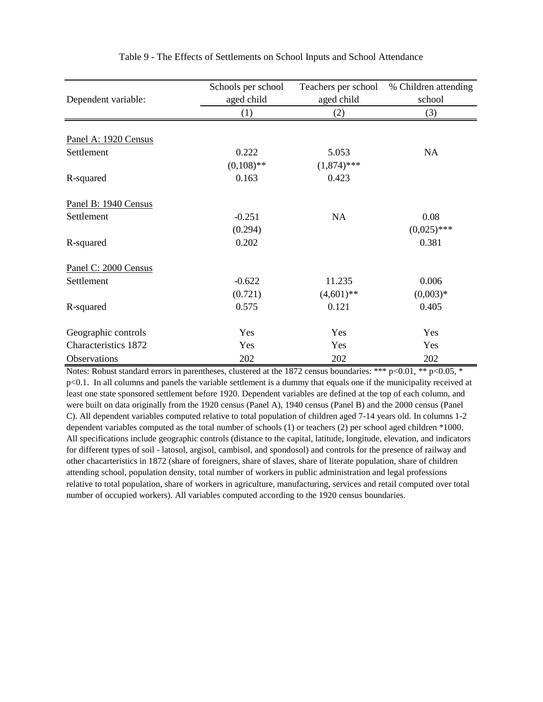|                             | Schools per school | Teachers per school | % Children attending |
|-----------------------------|--------------------|---------------------|----------------------|
| Dependent variable:         | aged child         | aged child          | school               |
|                             | (1)                | (2)                 | (3)                  |
|                             |                    |                     |                      |
| Panel A: 1920 Census        |                    |                     |                      |
| Settlement                  | 0.222              | 5.053               | NA                   |
|                             | $(0,108)$ **       | $(1,874)$ ***       |                      |
| R-squared                   | 0.163              | 0.423               |                      |
| Panel B: 1940 Census        |                    |                     |                      |
| Settlement                  | $-0.251$           | NA                  | 0.08                 |
|                             | (0.294)            |                     | $(0,025)$ ***        |
| R-squared                   | 0.202              |                     | 0.381                |
| Panel C: 2000 Census        |                    |                     |                      |
| Settlement                  | $-0.622$           | 11.235              | 0.006                |
|                             | (0.721)            | $(4,601)$ **        | $(0,003)*$           |
| R-squared                   | 0.575              | 0.121               | 0.405                |
| Geographic controls         | Yes                | Yes                 | Yes                  |
| <b>Characteristics 1872</b> | Yes                | Yes                 | Yes                  |
| Observations                | 202                | 202                 | 202                  |

Table 9 - The Effects of Settlements on School Inputs and School Attendance

Notes: Robust standard errors in parentheses, clustered at the 1872 census boundaries: \*\*\* p<0.01, \*\* p<0.05, \* p<0.1. In all columns and panels the variable settlement is a dummy that equals one if the municipality received at least one state sponsored settlement before 1920. Dependent variables are defined at the top of each column, and were built on data originally from the 1920 census (Panel A), 1940 census (Panel B) and the 2000 census (Panel C). All dependent variables computed relative to total population of children aged 7-14 years old. In columns 1-2 dependent variables computed as the total number of schools (1) or teachers (2) per school aged children \*1000. All specifications include geographic controls (distance to the capital, latitude, longitude, elevation, and indicators for different types of soil - latosol, argisol, cambisol, and spondosol) and controls for the presence of railway and other chacarteristics in 1872 (share of foreigners, share of slaves, share of literate population, share of children attending school, population density, total number of workers in public administration and legal professions relative to total population, share of workers in agriculture, manufacturing, services and retail computed over total number of occupied workers). All variables computed according to the 1920 census boundaries.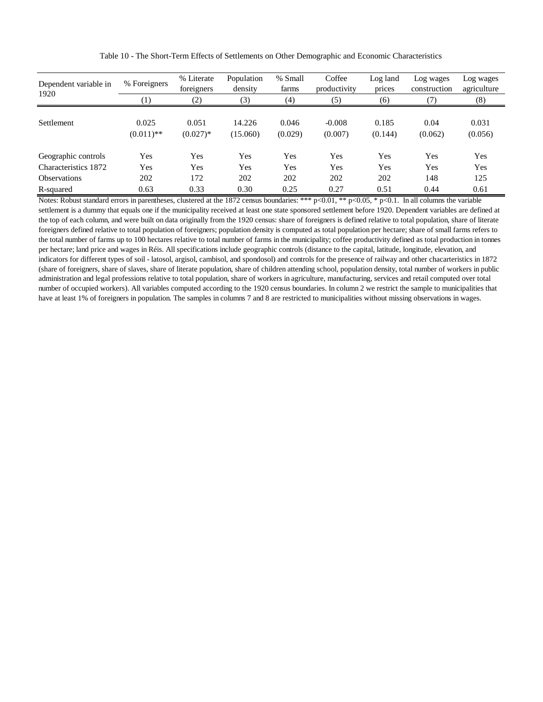| Dependent variable in<br>1920 | % Foreigners          | % Literate<br>foreigners | Population<br>density | % Small<br>farms | Coffee<br>productivity | Log land<br>prices | Log wages<br>construction | Log wages<br>agriculture |
|-------------------------------|-----------------------|--------------------------|-----------------------|------------------|------------------------|--------------------|---------------------------|--------------------------|
|                               | $\left(1\right)$      | (2)                      | (3)                   | (4)              | (5)                    | (6)                |                           | (8)                      |
| <b>Settlement</b>             | 0.025<br>$(0.011)$ ** | 0.051<br>$(0.027)*$      | 14.226<br>(15.060)    | 0.046<br>(0.029) | $-0.008$<br>(0.007)    | 0.185<br>(0.144)   | 0.04<br>(0.062)           | 0.031<br>(0.056)         |
| Geographic controls           | Yes                   | Yes                      | Yes                   | Yes              | Yes                    | Yes                | Yes                       | Yes                      |
| Characteristics 1872          | Yes                   | Yes                      | Yes                   | Yes              | Yes                    | Yes                | Yes                       | Yes                      |
| <b>Observations</b>           | 202                   | 172                      | 202                   | 202              | 202                    | 202                | 148                       | 125                      |
| R-squared                     | 0.63                  | 0.33                     | 0.30                  | 0.25             | 0.27                   | 0.51               | 0.44                      | 0.61                     |

Table 10 - The Short-Term Effects of Settlements on Other Demographic and Economic Characteristics

Notes: Robust standard errors in parentheses, clustered at the 1872 census boundaries: \*\*\* p<0.01, \*\* p<0.05, \* p<0.1. In all columns the variable settlement is a dummy that equals one if the municipality received at least one state sponsored settlement before 1920. Dependent variables are defined at the top of each column, and were built on data originally from the 1920 census: share of foreigners is defined relative to total population, share of literate foreigners defined relative to total population of foreigners; population density is computed as total population per hectare; share of small farms refers to the total number of farms up to 100 hectares relative to total number of farms in the municipality; coffee productivity defined as total production in tonnes per hectare; land price and wages in Réis. All specifications include geographic controls (distance to the capital, latitude, longitude, elevation, and indicators for different types of soil - latosol, argisol, cambisol, and spondosol) and controls for the presence of railway and other chacarteristics in 1872 (share of foreigners, share of slaves, share of literate population, share of children attending school, population density, total number of workers in public administration and legal professions relative to total population, share of workers in agriculture, manufacturing, services and retail computed over total number of occupied workers). All variables computed according to the 1920 census boundaries. In column 2 we restrict the sample to municipalities that have at least 1% of foreigners in population. The samples in columns 7 and 8 are restricted to municipalities without missing observations in wages.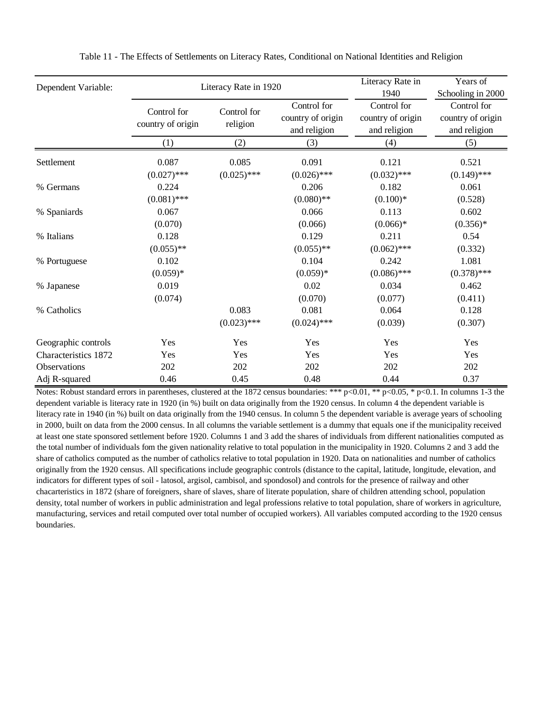| Dependent Variable:  |                                  | Literacy Rate in 1920   | Literacy Rate in<br>1940                         | Years of<br>Schooling in 2000                    |                                                  |
|----------------------|----------------------------------|-------------------------|--------------------------------------------------|--------------------------------------------------|--------------------------------------------------|
|                      | Control for<br>country of origin | Control for<br>religion | Control for<br>country of origin<br>and religion | Control for<br>country of origin<br>and religion | Control for<br>country of origin<br>and religion |
|                      | (1)                              | (2)                     | (3)                                              | (4)                                              | (5)                                              |
| Settlement           | 0.087<br>$(0.027)$ ***           | 0.085<br>$(0.025)$ ***  | 0.091<br>$(0.026)$ ***                           | 0.121<br>$(0.032)$ ***                           | 0.521<br>$(0.149)$ ***                           |
| % Germans            | 0.224<br>$(0.081)$ ***           |                         | 0.206<br>$(0.080)$ **                            | 0.182<br>$(0.100)*$                              | 0.061<br>(0.528)                                 |
| % Spaniards          | 0.067<br>(0.070)                 |                         | 0.066<br>(0.066)                                 | 0.113<br>$(0.066)*$                              | 0.602<br>$(0.356)*$                              |
| % Italians           | 0.128<br>$(0.055)$ **            |                         | 0.129<br>$(0.055)$ **                            | 0.211<br>$(0.062)$ ***                           | 0.54<br>(0.332)                                  |
| % Portuguese         | 0.102<br>$(0.059)*$              |                         | 0.104<br>$(0.059)*$                              | 0.242<br>$(0.086)$ ***                           | 1.081<br>$(0.378)$ ***                           |
| % Japanese           | 0.019<br>(0.074)                 |                         | 0.02<br>(0.070)                                  | 0.034<br>(0.077)                                 | 0.462<br>(0.411)                                 |
| % Catholics          |                                  | 0.083<br>$(0.023)$ ***  | 0.081<br>$(0.024)$ ***                           | 0.064<br>(0.039)                                 | 0.128<br>(0.307)                                 |
| Geographic controls  | Yes                              | Yes                     | Yes                                              | Yes                                              | Yes                                              |
| Characteristics 1872 | Yes                              | Yes                     | Yes                                              | Yes                                              | Yes                                              |
| Observations         | 202                              | 202                     | 202                                              | 202                                              | 202                                              |
| Adj R-squared        | 0.46                             | 0.45                    | 0.48                                             | 0.44                                             | 0.37                                             |

Table 11 - The Effects of Settlements on Literacy Rates, Conditional on National Identities and Religion

Notes: Robust standard errors in parentheses, clustered at the 1872 census boundaries: \*\*\* p<0.01, \*\* p<0.05, \* p<0.1. In columns 1-3 the dependent variable is literacy rate in 1920 (in %) built on data originally from the 1920 census. In column 4 the dependent variable is literacy rate in 1940 (in %) built on data originally from the 1940 census. In column 5 the dependent variable is average years of schooling in 2000, built on data from the 2000 census. In all columns the variable settlement is a dummy that equals one if the municipality received at least one state sponsored settlement before 1920. Columns 1 and 3 add the shares of individuals from different nationalities computed as the total number of individuals fom the given nationality relative to total population in the municipality in 1920. Columns 2 and 3 add the share of catholics computed as the number of catholics relative to total population in 1920. Data on nationalities and number of catholics originally from the 1920 census. All specifications include geographic controls (distance to the capital, latitude, longitude, elevation, and indicators for different types of soil - latosol, argisol, cambisol, and spondosol) and controls for the presence of railway and other chacarteristics in 1872 (share of foreigners, share of slaves, share of literate population, share of children attending school, population density, total number of workers in public administration and legal professions relative to total population, share of workers in agriculture, manufacturing, services and retail computed over total number of occupied workers). All variables computed according to the 1920 census boundaries.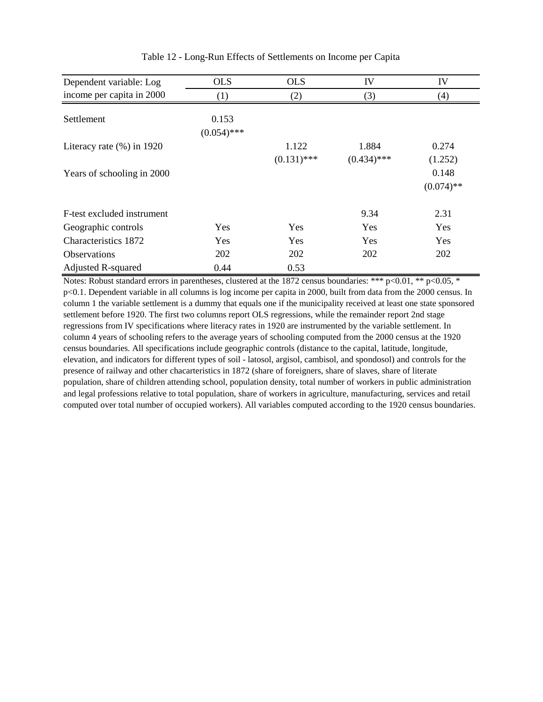| Dependent variable: Log      | <b>OLS</b>             | <b>OLS</b>    | IV            | IV           |
|------------------------------|------------------------|---------------|---------------|--------------|
| income per capita in 2000    | (1)                    | (2)           | (3)           | (4)          |
| Settlement                   | 0.153<br>$(0.054)$ *** |               |               |              |
| Literacy rate $(\%)$ in 1920 |                        | 1.122         | 1.884         | 0.274        |
|                              |                        | $(0.131)$ *** | $(0.434)$ *** | (1.252)      |
| Years of schooling in 2000   |                        |               |               | 0.148        |
|                              |                        |               |               | $(0.074)$ ** |
| F-test excluded instrument   |                        |               | 9.34          | 2.31         |
| Geographic controls          | Yes                    | Yes           | Yes           | Yes          |
| Characteristics 1872         | Yes                    | Yes           | Yes           | Yes          |
| <b>Observations</b>          | 202                    | 202           | 202           | 202          |
| <b>Adjusted R-squared</b>    | 0.44                   | 0.53          |               |              |

Table 12 - Long-Run Effects of Settlements on Income per Capita

Notes: Robust standard errors in parentheses, clustered at the 1872 census boundaries: \*\*\* p<0.01, \*\* p<0.05, \* p<0.1. Dependent variable in all columns is log income per capita in 2000, built from data from the 2000 census. In column 1 the variable settlement is a dummy that equals one if the municipality received at least one state sponsored settlement before 1920. The first two columns report OLS regressions, while the remainder report 2nd stage regressions from IV specifications where literacy rates in 1920 are instrumented by the variable settlement. In column 4 years of schooling refers to the average years of schooling computed from the 2000 census at the 1920 census boundaries. All specifications include geographic controls (distance to the capital, latitude, longitude, elevation, and indicators for different types of soil - latosol, argisol, cambisol, and spondosol) and controls for the presence of railway and other chacarteristics in 1872 (share of foreigners, share of slaves, share of literate population, share of children attending school, population density, total number of workers in public administration and legal professions relative to total population, share of workers in agriculture, manufacturing, services and retail computed over total number of occupied workers). All variables computed according to the 1920 census boundaries.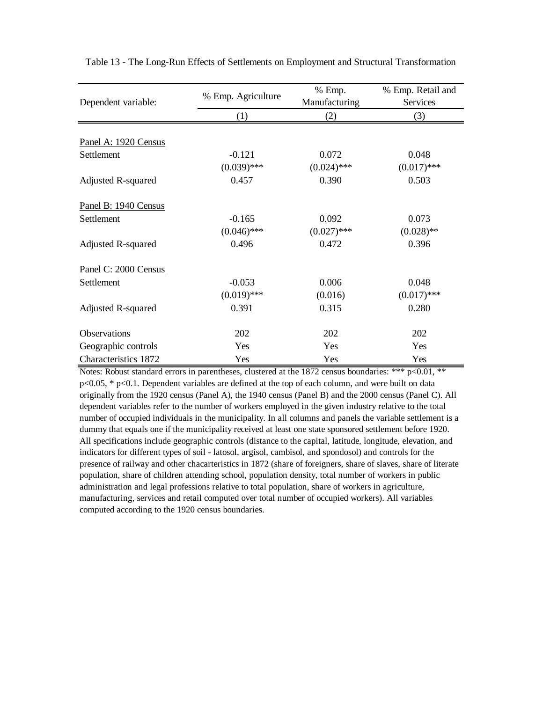|                      | % Emp. Agriculture | % Emp.        | % Emp. Retail and |  |
|----------------------|--------------------|---------------|-------------------|--|
| Dependent variable:  |                    | Manufacturing | Services          |  |
|                      | (1)                | (2)           | (3)               |  |
|                      |                    |               |                   |  |
| Panel A: 1920 Census |                    |               |                   |  |
| Settlement           | $-0.121$           | 0.072         | 0.048             |  |
|                      | $(0.039)$ ***      | $(0.024)$ *** | $(0.017)$ ***     |  |
| Adjusted R-squared   | 0.457              | 0.390         | 0.503             |  |
| Panel B: 1940 Census |                    |               |                   |  |
| Settlement           | $-0.165$           | 0.092         | 0.073             |  |
|                      | $(0.046)$ ***      | $(0.027)$ *** | $(0.028)$ **      |  |
| Adjusted R-squared   | 0.496              | 0.472         | 0.396             |  |
| Panel C: 2000 Census |                    |               |                   |  |
| Settlement           | $-0.053$           | 0.006         | 0.048             |  |
|                      | $(0.019)$ ***      | (0.016)       | $(0.017)$ ***     |  |
| Adjusted R-squared   | 0.391              | 0.315         | 0.280             |  |
| Observations         | 202                | 202           | 202               |  |
| Geographic controls  | Yes                | Yes           | Yes               |  |
| Characteristics 1872 | Yes                | Yes           | Yes               |  |

Table 13 - The Long-Run Effects of Settlements on Employment and Structural Transformation

Notes: Robust standard errors in parentheses, clustered at the 1872 census boundaries: \*\*\*  $p<0.01$ , \*\* p<0.05, \* p<0.1. Dependent variables are defined at the top of each column, and were built on data originally from the 1920 census (Panel A), the 1940 census (Panel B) and the 2000 census (Panel C). All dependent variables refer to the number of workers employed in the given industry relative to the total number of occupied individuals in the municipality. In all columns and panels the variable settlement is a dummy that equals one if the municipality received at least one state sponsored settlement before 1920. All specifications include geographic controls (distance to the capital, latitude, longitude, elevation, and indicators for different types of soil - latosol, argisol, cambisol, and spondosol) and controls for the presence of railway and other chacarteristics in 1872 (share of foreigners, share of slaves, share of literate population, share of children attending school, population density, total number of workers in public administration and legal professions relative to total population, share of workers in agriculture, manufacturing, services and retail computed over total number of occupied workers). All variables computed according to the 1920 census boundaries.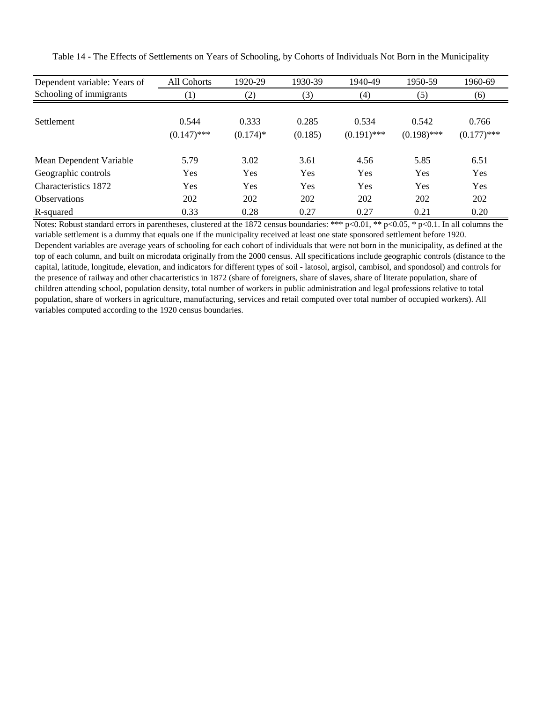| Dependent variable: Years of | All Cohorts   | 1920-29     | 1930-39 | 1940-49       | 1950-59       | 1960-69       |
|------------------------------|---------------|-------------|---------|---------------|---------------|---------------|
| Schooling of immigrants      | (1)           | (2)         | (3)     | (4)           | (5)           | (6)           |
|                              |               |             |         |               |               |               |
| <b>Settlement</b>            | 0.544         | 0.333       | 0.285   | 0.534         | 0.542         | 0.766         |
|                              | $(0.147)$ *** | $(0.174)$ * | (0.185) | $(0.191)$ *** | $(0.198)$ *** | $(0.177)$ *** |
| Mean Dependent Variable      | 5.79          | 3.02        | 3.61    | 4.56          | 5.85          | 6.51          |
| Geographic controls          | Yes           | Yes         | Yes     | Yes           | Yes           | Yes           |
| Characteristics 1872         | Yes           | Yes         | Yes     | Yes           | <b>Yes</b>    | Yes           |
| <b>Observations</b>          | 202           | 202         | 202     | 202           | 202           | 202           |
| R-squared                    | 0.33          | 0.28        | 0.27    | 0.27          | 0.21          | 0.20          |

Table 14 - The Effects of Settlements on Years of Schooling, by Cohorts of Individuals Not Born in the Municipality

Notes: Robust standard errors in parentheses, clustered at the 1872 census boundaries: \*\*\* p<0.01, \*\* p<0.05, \* p<0.1. In all columns the variable settlement is a dummy that equals one if the municipality received at least one state sponsored settlement before 1920. Dependent variables are average years of schooling for each cohort of individuals that were not born in the municipality, as defined at the top of each column, and built on microdata originally from the 2000 census. All specifications include geographic controls (distance to the capital, latitude, longitude, elevation, and indicators for different types of soil - latosol, argisol, cambisol, and spondosol) and controls for the presence of railway and other chacarteristics in 1872 (share of foreigners, share of slaves, share of literate population, share of children attending school, population density, total number of workers in public administration and legal professions relative to total population, share of workers in agriculture, manufacturing, services and retail computed over total number of occupied workers). All variables computed according to the 1920 census boundaries.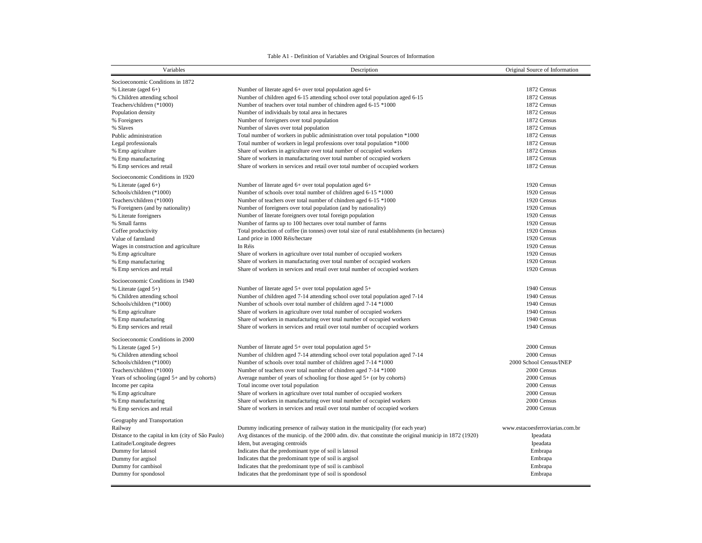#### Table A1 - Definition of Variables and Original Sources of Information

| Variables                                         | Description                                                                                             | Original Source of Information  |  |
|---------------------------------------------------|---------------------------------------------------------------------------------------------------------|---------------------------------|--|
| Socioeconomic Conditions in 1872                  |                                                                                                         |                                 |  |
| % Literate (aged $6+$ )                           | Number of literate aged 6+ over total population aged 6+                                                | 1872 Census                     |  |
| % Children attending school                       | Number of children aged 6-15 attending school over total population aged 6-15                           | 1872 Census                     |  |
| Teachers/children (*1000)                         | Number of teachers over total number of chindren aged 6-15 *1000                                        | 1872 Census                     |  |
| Population density                                | Number of individuals by total area in hectares                                                         | 1872 Census                     |  |
| % Foreigners                                      | Number of foreigners over total population                                                              | 1872 Census                     |  |
| % Slaves                                          | Number of slaves over total population                                                                  | 1872 Census                     |  |
| Public administration                             | Total number of workers in public administration over total population *1000                            | 1872 Census                     |  |
| Legal professionals                               | Total number of workers in legal professions over total population *1000                                | 1872 Census                     |  |
| % Emp agriculture                                 | Share of workers in agriculture over total number of occupied workers                                   | 1872 Census                     |  |
| % Emp manufacturing                               | Share of workers in manufacturing over total number of occupied workers                                 | 1872 Census                     |  |
| % Emp services and retail                         | Share of workers in services and retail over total number of occupied workers                           | 1872 Census                     |  |
|                                                   |                                                                                                         |                                 |  |
| Socioeconomic Conditions in 1920                  |                                                                                                         |                                 |  |
| % Literate (aged $6+$ )                           | Number of literate aged 6+ over total population aged 6+                                                | 1920 Census                     |  |
| Schools/children (*1000)                          | Number of schools over total number of children aged 6-15 *1000                                         | 1920 Census                     |  |
| Teachers/children (*1000)                         | Number of teachers over total number of chindren aged 6-15 *1000                                        | 1920 Census                     |  |
| % Foreigners (and by nationality)                 | Number of foreigners over total population (and by nationality)                                         | 1920 Census                     |  |
| % Literate foreigners                             | Number of literate foreigners over total foreign population                                             | 1920 Census                     |  |
| % Small farms                                     | Number of farms up to 100 hectares over total number of farms                                           | 1920 Census                     |  |
| Coffee productivity                               | Total production of coffee (in tonnes) over total size of rural establishments (in hectares)            | 1920 Census                     |  |
| Value of farmland                                 | Land price in 1000 Réis/hectare                                                                         | 1920 Census                     |  |
| Wages in construction and agriculture             | In Réis                                                                                                 | 1920 Census                     |  |
| % Emp agriculture                                 | Share of workers in agriculture over total number of occupied workers                                   | 1920 Census                     |  |
| % Emp manufacturing                               | Share of workers in manufacturing over total number of occupied workers                                 | 1920 Census                     |  |
| % Emp services and retail                         | Share of workers in services and retail over total number of occupied workers                           | 1920 Census                     |  |
| Socioeconomic Conditions in 1940                  |                                                                                                         |                                 |  |
| % Literate (aged $5+$ )                           | Number of literate aged 5+ over total population aged 5+                                                | 1940 Census                     |  |
| % Children attending school                       | Number of children aged 7-14 attending school over total population aged 7-14                           | 1940 Census                     |  |
| Schools/children (*1000)                          | Number of schools over total number of children aged 7-14 *1000                                         | 1940 Census                     |  |
| % Emp agriculture                                 | Share of workers in agriculture over total number of occupied workers                                   | 1940 Census                     |  |
| % Emp manufacturing                               | Share of workers in manufacturing over total number of occupied workers                                 | 1940 Census                     |  |
| % Emp services and retail                         | Share of workers in services and retail over total number of occupied workers                           | 1940 Census                     |  |
|                                                   |                                                                                                         |                                 |  |
| Socioeconomic Conditions in 2000                  | Number of literate aged 5+ over total population aged 5+                                                | 2000 Census                     |  |
| % Literate (aged $5+$ )                           | Number of children aged 7-14 attending school over total population aged 7-14                           | 2000 Census                     |  |
| % Children attending school                       |                                                                                                         | 2000 School Census/INEP         |  |
| Schools/children (*1000)                          | Number of schools over total number of children aged 7-14 *1000                                         |                                 |  |
| Teachers/children (*1000)                         | Number of teachers over total number of chindren aged 7-14 *1000                                        | 2000 Census                     |  |
| Years of schooling (aged $5+$ and by cohorts)     | Average number of years of schooling for those aged $5+$ (or by cohorts)                                | 2000 Census                     |  |
| Income per capita                                 | Total income over total population                                                                      | 2000 Census                     |  |
| % Emp agriculture                                 | Share of workers in agriculture over total number of occupied workers                                   | 2000 Census                     |  |
| % Emp manufacturing                               | Share of workers in manufacturing over total number of occupied workers                                 | 2000 Census                     |  |
| % Emp services and retail                         | Share of workers in services and retail over total number of occupied workers                           | 2000 Census                     |  |
| Geography and Transportation                      |                                                                                                         |                                 |  |
| Railway                                           | Dummy indicating presence of railway station in the municipality (for each year)                        | www.estacoesferroviarias.com.br |  |
| Distance to the capital in km (city of São Paulo) | Avg distances of the municip. of the 2000 adm. div. that constitute the original municip in 1872 (1920) | Ipeadata                        |  |
| Latitude/Longitude degrees                        | Idem, but averaging centroids                                                                           | Ipeadata                        |  |
| Dummy for latosol                                 | Indicates that the predominant type of soil is latosol                                                  | Embrapa                         |  |
| Dummy for argisol                                 | Indicates that the predominant type of soil is argisol                                                  | Embrapa                         |  |
| Dummy for cambisol                                | Indicates that the predominant type of soil is cambisol                                                 | Embrapa                         |  |
| Dummy for spondosol                               | Indicates that the predominant type of soil is spondosol                                                | Embrapa                         |  |
|                                                   |                                                                                                         |                                 |  |

 $\sim$